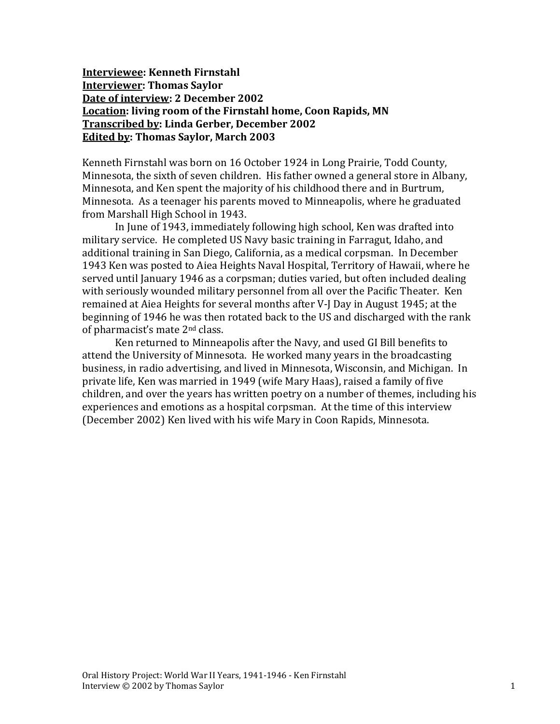**Interviewee: Kenneth Firnstahl Interviewer: Thomas Saylor Date of interview: 2 December 2002 Location: living room of the Firnstahl home, Coon Rapids, MN Transcribed by: Linda Gerber, December 2002 Edited by: Thomas Saylor, March 2003**

Kenneth Firnstahl was born on 16 October 1924 in Long Prairie, Todd County, Minnesota, the sixth of seven children. His father owned a general store in Albany, Minnesota, and Ken spent the majority of his childhood there and in Burtrum, Minnesota. As a teenager his parents moved to Minneapolis, where he graduated from Marshall High School in 1943.

In June of 1943, immediately following high school, Ken was drafted into military service. He completed US Navy basic training in Farragut, Idaho, and additional training in San Diego, California, as a medical corpsman. In December 1943 Ken was posted to Aiea Heights Naval Hospital, Territory of Hawaii, where he served until January 1946 as a corpsman; duties varied, but often included dealing with seriously wounded military personnel from all over the Pacific Theater. Ken remained at Aiea Heights for several months after V-J Day in August 1945; at the beginning of 1946 he was then rotated back to the US and discharged with the rank of pharmacist's mate 2nd class.

Ken returned to Minneapolis after the Navy, and used GI Bill benefits to attend the University of Minnesota. He worked many years in the broadcasting business, in radio advertising, and lived in Minnesota, Wisconsin, and Michigan. In private life, Ken was married in 1949 (wife Mary Haas), raised a family of five children, and over the years has written poetry on a number of themes, including his experiences and emotions as a hospital corpsman. At the time of this interview (December 2002) Ken lived with his wife Mary in Coon Rapids, Minnesota.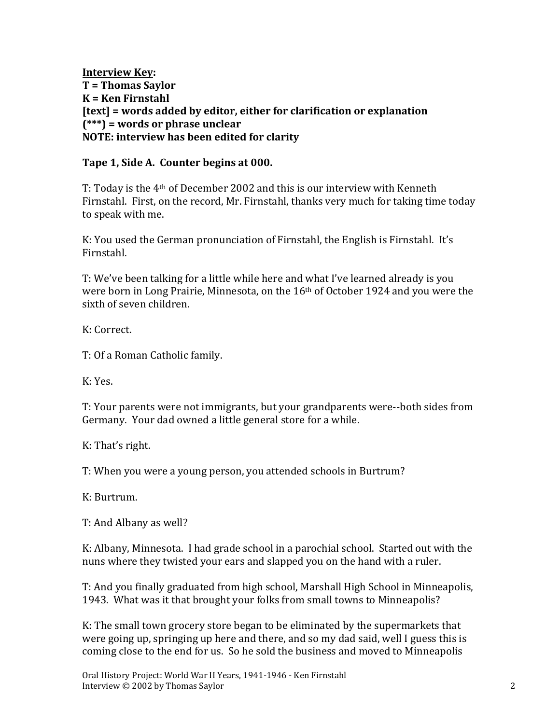**Interview Key: T = Thomas Saylor K = Ken Firnstahl [text] = words added by editor, either for clarification or explanation (\*\*\*) = words or phrase unclear NOTE: interview has been edited for clarity**

#### **Tape 1, Side A. Counter begins at 000.**

T: Today is the  $4<sup>th</sup>$  of December 2002 and this is our interview with Kenneth Firnstahl. First, on the record, Mr. Firnstahl, thanks very much for taking time today to speak with me.

K: You used the German pronunciation of Firnstahl, the English is Firnstahl. It's Firnstahl.

T: We've been talking for a little while here and what I've learned already is you were born in Long Prairie, Minnesota, on the 16th of October 1924 and you were the sixth of seven children.

K: Correct.

T: Of a Roman Catholic family.

K: Yes.

T: Your parents were not immigrants, but your grandparents were--both sides from Germany. Your dad owned a little general store for a while.

K: That's right.

T: When you were a young person, you attended schools in Burtrum?

K: Burtrum.

T: And Albany as well?

K: Albany, Minnesota. I had grade school in a parochial school. Started out with the nuns where they twisted your ears and slapped you on the hand with a ruler.

T: And you finally graduated from high school, Marshall High School in Minneapolis, 1943. What was it that brought your folks from small towns to Minneapolis?

K: The small town grocery store began to be eliminated by the supermarkets that were going up, springing up here and there, and so my dad said, well I guess this is coming close to the end for us. So he sold the business and moved to Minneapolis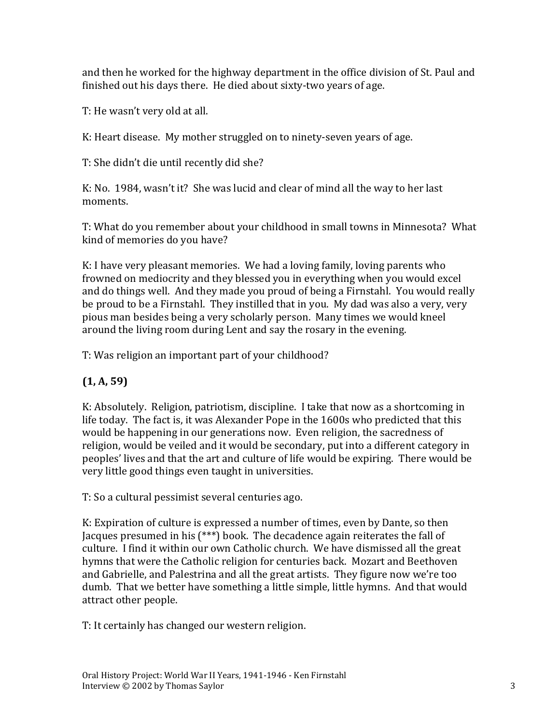and then he worked for the highway department in the office division of St. Paul and finished out his days there. He died about sixty-two years of age.

T: He wasn't very old at all.

K: Heart disease. My mother struggled on to ninety-seven years of age.

T: She didn't die until recently did she?

K: No. 1984, wasn't it? She was lucid and clear of mind all the way to her last moments.

T: What do you remember about your childhood in small towns in Minnesota? What kind of memories do you have?

K: I have very pleasant memories. We had a loving family, loving parents who frowned on mediocrity and they blessed you in everything when you would excel and do things well. And they made you proud of being a Firnstahl. You would really be proud to be a Firnstahl. They instilled that in you. My dad was also a very, very pious man besides being a very scholarly person. Many times we would kneel around the living room during Lent and say the rosary in the evening.

T: Was religion an important part of your childhood?

# **(1, A, 59)**

K: Absolutely. Religion, patriotism, discipline. I take that now as a shortcoming in life today. The fact is, it was Alexander Pope in the 1600s who predicted that this would be happening in our generations now. Even religion, the sacredness of religion, would be veiled and it would be secondary, put into a different category in peoples' lives and that the art and culture of life would be expiring. There would be very little good things even taught in universities.

T: So a cultural pessimist several centuries ago.

K: Expiration of culture is expressed a number of times, even by Dante, so then Jacques presumed in his (\*\*\*) book. The decadence again reiterates the fall of culture. I find it within our own Catholic church. We have dismissed all the great hymns that were the Catholic religion for centuries back. Mozart and Beethoven and Gabrielle, and Palestrina and all the great artists. They figure now we're too dumb. That we better have something a little simple, little hymns. And that would attract other people.

T: It certainly has changed our western religion.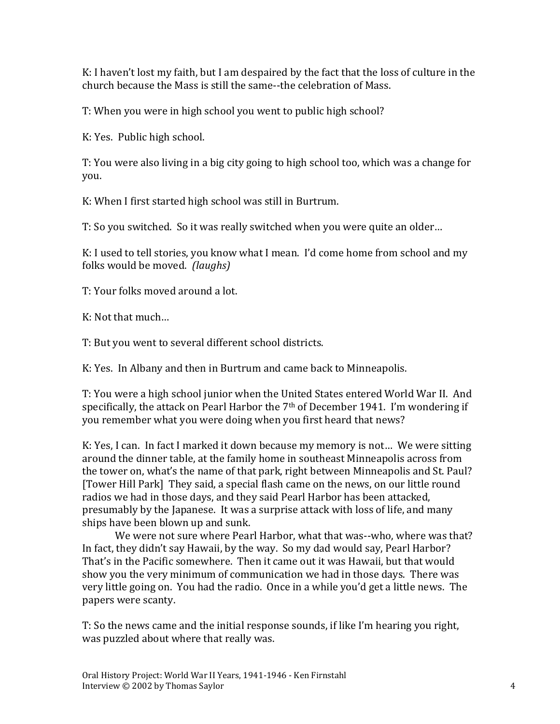K: I haven't lost my faith, but I am despaired by the fact that the loss of culture in the church because the Mass is still the same--the celebration of Mass.

T: When you were in high school you went to public high school?

K: Yes. Public high school.

T: You were also living in a big city going to high school too, which was a change for you.

K: When I first started high school was still in Burtrum.

T: So you switched. So it was really switched when you were quite an older…

K: I used to tell stories, you know what I mean. I'd come home from school and my folks would be moved. *(laughs)*

T: Your folks moved around a lot.

K: Not that much…

T: But you went to several different school districts.

K: Yes. In Albany and then in Burtrum and came back to Minneapolis.

T: You were a high school junior when the United States entered World War II. And specifically, the attack on Pearl Harbor the 7<sup>th</sup> of December 1941. I'm wondering if you remember what you were doing when you first heard that news?

K: Yes, I can. In fact I marked it down because my memory is not… We were sitting around the dinner table, at the family home in southeast Minneapolis across from the tower on, what's the name of that park, right between Minneapolis and St. Paul? [Tower Hill Park] They said, a special flash came on the news, on our little round radios we had in those days, and they said Pearl Harbor has been attacked, presumably by the Japanese. It was a surprise attack with loss of life, and many ships have been blown up and sunk.

We were not sure where Pearl Harbor, what that was--who, where was that? In fact, they didn't say Hawaii, by the way. So my dad would say, Pearl Harbor? That's in the Pacific somewhere. Then it came out it was Hawaii, but that would show you the very minimum of communication we had in those days. There was very little going on. You had the radio. Once in a while you'd get a little news. The papers were scanty.

T: So the news came and the initial response sounds, if like I'm hearing you right, was puzzled about where that really was.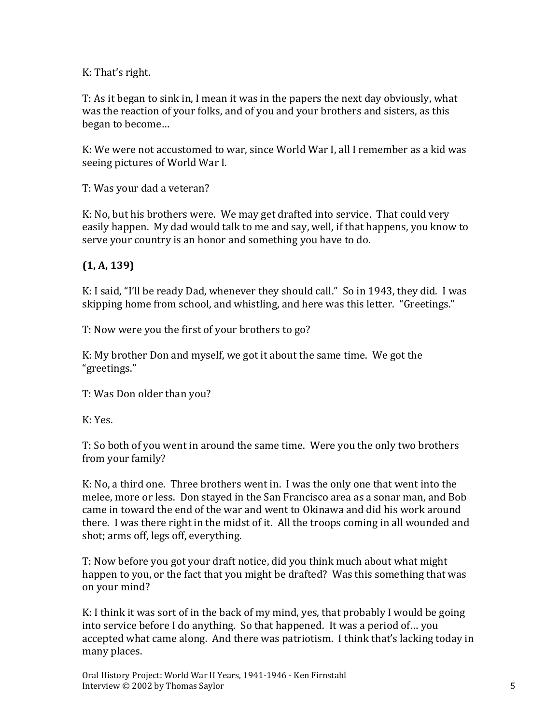K: That's right.

T: As it began to sink in, I mean it was in the papers the next day obviously, what was the reaction of your folks, and of you and your brothers and sisters, as this began to become…

K: We were not accustomed to war, since World War I, all I remember as a kid was seeing pictures of World War I.

T: Was your dad a veteran?

K: No, but his brothers were. We may get drafted into service. That could very easily happen. My dad would talk to me and say, well, if that happens, you know to serve your country is an honor and something you have to do.

# **(1, A, 139)**

K: I said, "I'll be ready Dad, whenever they should call." So in 1943, they did. I was skipping home from school, and whistling, and here was this letter. "Greetings."

T: Now were you the first of your brothers to go?

K: My brother Don and myself, we got it about the same time. We got the "greetings."

T: Was Don older than you?

K: Yes.

T: So both of you went in around the same time. Were you the only two brothers from your family?

K: No, a third one. Three brothers went in. I was the only one that went into the melee, more or less. Don stayed in the San Francisco area as a sonar man, and Bob came in toward the end of the war and went to Okinawa and did his work around there. I was there right in the midst of it. All the troops coming in all wounded and shot; arms off, legs off, everything.

T: Now before you got your draft notice, did you think much about what might happen to you, or the fact that you might be drafted? Was this something that was on your mind?

K: I think it was sort of in the back of my mind, yes, that probably I would be going into service before I do anything. So that happened. It was a period of… you accepted what came along. And there was patriotism. I think that's lacking today in many places.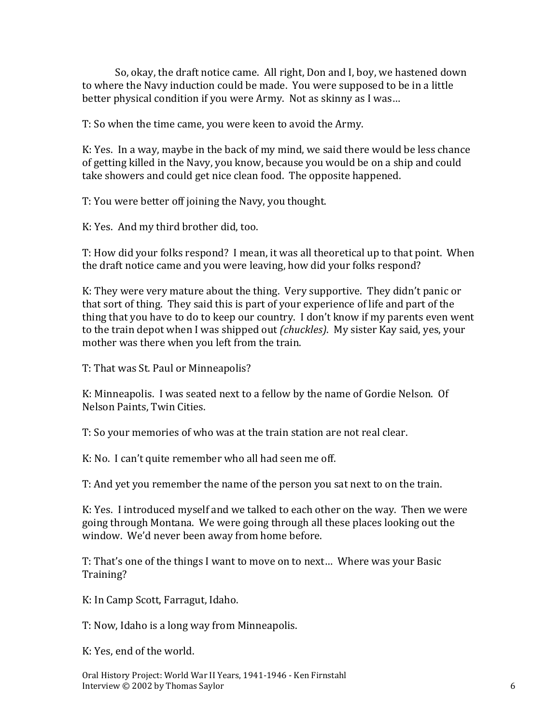So, okay, the draft notice came. All right, Don and I, boy, we hastened down to where the Navy induction could be made. You were supposed to be in a little better physical condition if you were Army. Not as skinny as I was…

T: So when the time came, you were keen to avoid the Army.

K: Yes. In a way, maybe in the back of my mind, we said there would be less chance of getting killed in the Navy, you know, because you would be on a ship and could take showers and could get nice clean food. The opposite happened.

T: You were better off joining the Navy, you thought.

K: Yes. And my third brother did, too.

T: How did your folks respond? I mean, it was all theoretical up to that point. When the draft notice came and you were leaving, how did your folks respond?

K: They were very mature about the thing. Very supportive. They didn't panic or that sort of thing. They said this is part of your experience of life and part of the thing that you have to do to keep our country. I don't know if my parents even went to the train depot when I was shipped out *(chuckles)*. My sister Kay said, yes, your mother was there when you left from the train.

T: That was St. Paul or Minneapolis?

K: Minneapolis. I was seated next to a fellow by the name of Gordie Nelson. Of Nelson Paints, Twin Cities.

T: So your memories of who was at the train station are not real clear.

K: No. I can't quite remember who all had seen me off.

T: And yet you remember the name of the person you sat next to on the train.

K: Yes. I introduced myself and we talked to each other on the way. Then we were going through Montana. We were going through all these places looking out the window. We'd never been away from home before.

T: That's one of the things I want to move on to next… Where was your Basic Training?

K: In Camp Scott, Farragut, Idaho.

T: Now, Idaho is a long way from Minneapolis.

K: Yes, end of the world.

Oral History Project: World War II Years, 1941-1946 - Ken Firnstahl Interview © 2002 by Thomas Saylor 6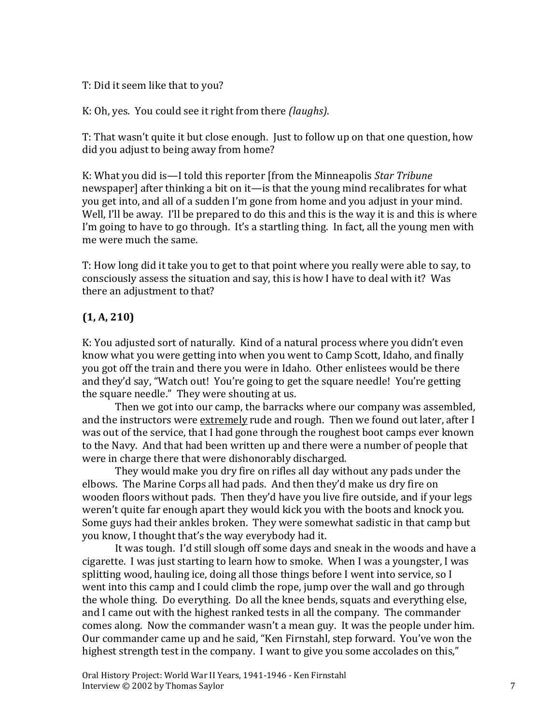T: Did it seem like that to you?

K: Oh, yes. You could see it right from there *(laughs)*.

T: That wasn't quite it but close enough. Just to follow up on that one question, how did you adjust to being away from home?

K: What you did is—I told this reporter [from the Minneapolis *Star Tribune* newspaper] after thinking a bit on it—is that the young mind recalibrates for what you get into, and all of a sudden I'm gone from home and you adjust in your mind. Well, I'll be away. I'll be prepared to do this and this is the way it is and this is where I'm going to have to go through. It's a startling thing. In fact, all the young men with me were much the same.

T: How long did it take you to get to that point where you really were able to say, to consciously assess the situation and say, this is how I have to deal with it? Was there an adjustment to that?

# **(1, A, 210)**

K: You adjusted sort of naturally. Kind of a natural process where you didn't even know what you were getting into when you went to Camp Scott, Idaho, and finally you got off the train and there you were in Idaho. Other enlistees would be there and they'd say, "Watch out! You're going to get the square needle! You're getting the square needle." They were shouting at us.

Then we got into our camp, the barracks where our company was assembled, and the instructors were extremely rude and rough. Then we found out later, after I was out of the service, that I had gone through the roughest boot camps ever known to the Navy. And that had been written up and there were a number of people that were in charge there that were dishonorably discharged.

They would make you dry fire on rifles all day without any pads under the elbows. The Marine Corps all had pads. And then they'd make us dry fire on wooden floors without pads. Then they'd have you live fire outside, and if your legs weren't quite far enough apart they would kick you with the boots and knock you. Some guys had their ankles broken. They were somewhat sadistic in that camp but you know, I thought that's the way everybody had it.

It was tough. I'd still slough off some days and sneak in the woods and have a cigarette. I was just starting to learn how to smoke. When I was a youngster, I was splitting wood, hauling ice, doing all those things before I went into service, so I went into this camp and I could climb the rope, jump over the wall and go through the whole thing. Do everything. Do all the knee bends, squats and everything else, and I came out with the highest ranked tests in all the company. The commander comes along. Now the commander wasn't a mean guy. It was the people under him. Our commander came up and he said, "Ken Firnstahl, step forward. You've won the highest strength test in the company. I want to give you some accolades on this,"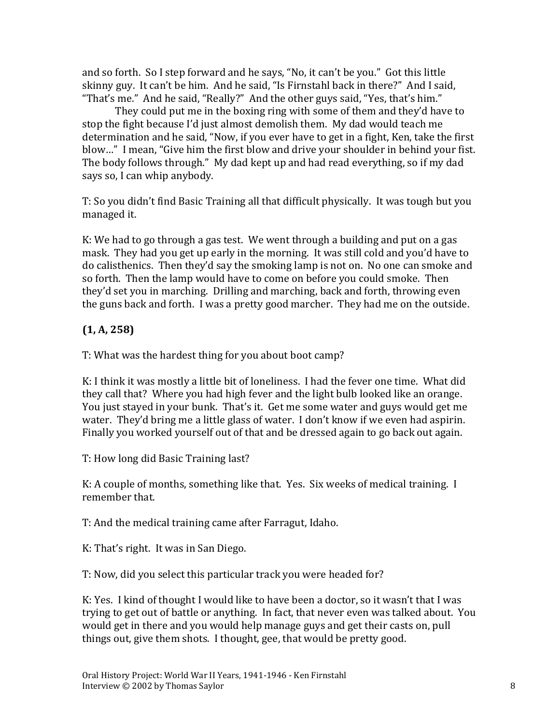and so forth. So I step forward and he says, "No, it can't be you." Got this little skinny guy. It can't be him. And he said, "Is Firnstahl back in there?" And I said, "That's me." And he said, "Really?" And the other guys said, "Yes, that's him."

They could put me in the boxing ring with some of them and they'd have to stop the fight because I'd just almost demolish them. My dad would teach me determination and he said, "Now, if you ever have to get in a fight, Ken, take the first blow…" I mean, "Give him the first blow and drive your shoulder in behind your fist. The body follows through." My dad kept up and had read everything, so if my dad says so, I can whip anybody.

T: So you didn't find Basic Training all that difficult physically. It was tough but you managed it.

K: We had to go through a gas test. We went through a building and put on a gas mask. They had you get up early in the morning. It was still cold and you'd have to do calisthenics. Then they'd say the smoking lamp is not on. No one can smoke and so forth. Then the lamp would have to come on before you could smoke. Then they'd set you in marching. Drilling and marching, back and forth, throwing even the guns back and forth. I was a pretty good marcher. They had me on the outside.

# **(1, A, 258)**

T: What was the hardest thing for you about boot camp?

K: I think it was mostly a little bit of loneliness. I had the fever one time. What did they call that? Where you had high fever and the light bulb looked like an orange. You just stayed in your bunk. That's it. Get me some water and guys would get me water. They'd bring me a little glass of water. I don't know if we even had aspirin. Finally you worked yourself out of that and be dressed again to go back out again.

T: How long did Basic Training last?

K: A couple of months, something like that. Yes. Six weeks of medical training. I remember that.

T: And the medical training came after Farragut, Idaho.

K: That's right. It was in San Diego.

T: Now, did you select this particular track you were headed for?

K: Yes. I kind of thought I would like to have been a doctor, so it wasn't that I was trying to get out of battle or anything. In fact, that never even was talked about. You would get in there and you would help manage guys and get their casts on, pull things out, give them shots. I thought, gee, that would be pretty good.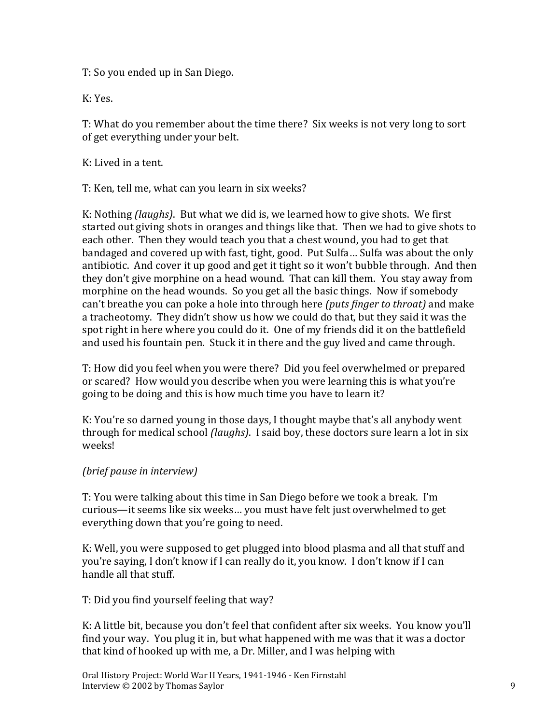T: So you ended up in San Diego.

K: Yes.

T: What do you remember about the time there? Six weeks is not very long to sort of get everything under your belt.

K: Lived in a tent.

T: Ken, tell me, what can you learn in six weeks?

K: Nothing *(laughs)*. But what we did is, we learned how to give shots. We first started out giving shots in oranges and things like that. Then we had to give shots to each other. Then they would teach you that a chest wound, you had to get that bandaged and covered up with fast, tight, good. Put Sulfa… Sulfa was about the only antibiotic. And cover it up good and get it tight so it won't bubble through. And then they don't give morphine on a head wound. That can kill them. You stay away from morphine on the head wounds. So you get all the basic things. Now if somebody can't breathe you can poke a hole into through here *(puts finger to throat)* and make a tracheotomy. They didn't show us how we could do that, but they said it was the spot right in here where you could do it. One of my friends did it on the battlefield and used his fountain pen. Stuck it in there and the guy lived and came through.

T: How did you feel when you were there? Did you feel overwhelmed or prepared or scared? How would you describe when you were learning this is what you're going to be doing and this is how much time you have to learn it?

K: You're so darned young in those days, I thought maybe that's all anybody went through for medical school *(laughs)*. I said boy, these doctors sure learn a lot in six weeks!

#### *(brief pause in interview)*

T: You were talking about this time in San Diego before we took a break. I'm curious—it seems like six weeks… you must have felt just overwhelmed to get everything down that you're going to need.

K: Well, you were supposed to get plugged into blood plasma and all that stuff and you're saying, I don't know if I can really do it, you know. I don't know if I can handle all that stuff.

T: Did you find yourself feeling that way?

K: A little bit, because you don't feel that confident after six weeks. You know you'll find your way. You plug it in, but what happened with me was that it was a doctor that kind of hooked up with me, a Dr. Miller, and I was helping with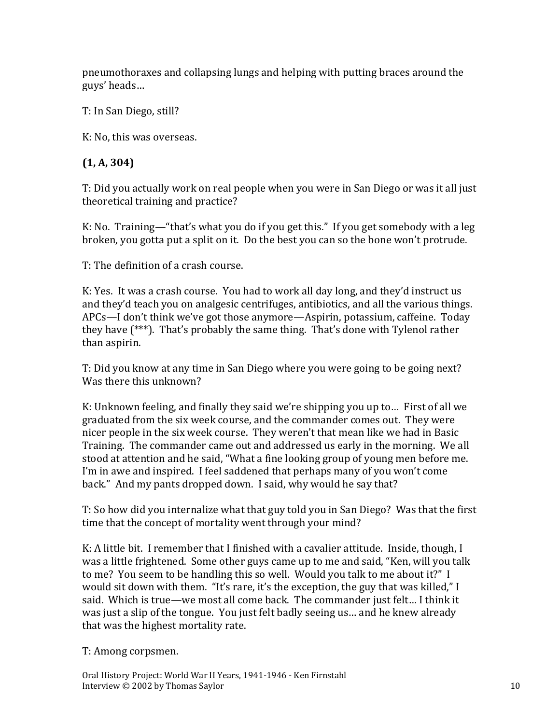pneumothoraxes and collapsing lungs and helping with putting braces around the guys' heads…

T: In San Diego, still?

K: No, this was overseas.

# **(1, A, 304)**

T: Did you actually work on real people when you were in San Diego or was it all just theoretical training and practice?

K: No. Training—"that's what you do if you get this." If you get somebody with a leg broken, you gotta put a split on it. Do the best you can so the bone won't protrude.

T: The definition of a crash course.

K: Yes. It was a crash course. You had to work all day long, and they'd instruct us and they'd teach you on analgesic centrifuges, antibiotics, and all the various things. APCs—I don't think we've got those anymore—Aspirin, potassium, caffeine. Today they have (\*\*\*). That's probably the same thing. That's done with Tylenol rather than aspirin.

T: Did you know at any time in San Diego where you were going to be going next? Was there this unknown?

K: Unknown feeling, and finally they said we're shipping you up to… First of all we graduated from the six week course, and the commander comes out. They were nicer people in the six week course. They weren't that mean like we had in Basic Training. The commander came out and addressed us early in the morning. We all stood at attention and he said, "What a fine looking group of young men before me. I'm in awe and inspired. I feel saddened that perhaps many of you won't come back." And my pants dropped down. I said, why would he say that?

T: So how did you internalize what that guy told you in San Diego? Was that the first time that the concept of mortality went through your mind?

K: A little bit. I remember that I finished with a cavalier attitude. Inside, though, I was a little frightened. Some other guys came up to me and said, "Ken, will you talk to me? You seem to be handling this so well. Would you talk to me about it?" I would sit down with them. "It's rare, it's the exception, the guy that was killed," I said. Which is true—we most all come back. The commander just felt… I think it was just a slip of the tongue. You just felt badly seeing us… and he knew already that was the highest mortality rate.

T: Among corpsmen.

Oral History Project: World War II Years, 1941-1946 - Ken Firnstahl Interview © 2002 by Thomas Saylor 10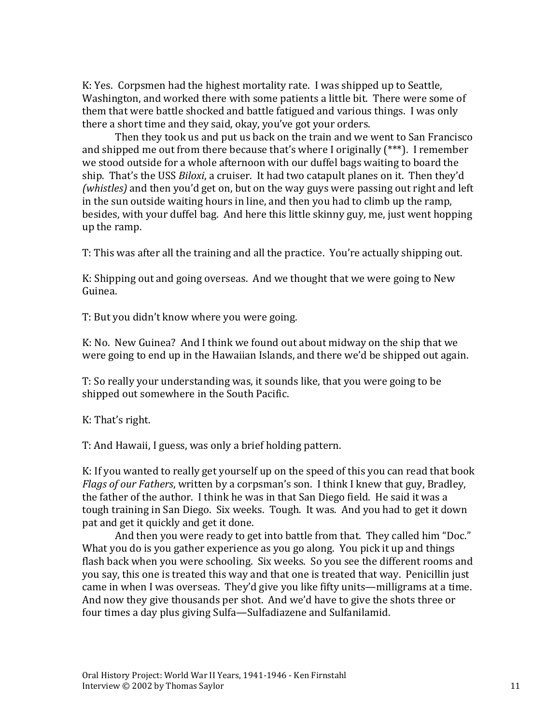K: Yes. Corpsmen had the highest mortality rate. I was shipped up to Seattle, Washington, and worked there with some patients a little bit. There were some of them that were battle shocked and battle fatigued and various things. I was only there a short time and they said, okay, you've got your orders.

Then they took us and put us back on the train and we went to San Francisco and shipped me out from there because that's where I originally (\*\*\*). I remember we stood outside for a whole afternoon with our duffel bags waiting to board the ship. That's the USS *Biloxi*, a cruiser. It had two catapult planes on it. Then they'd *(whistles)* and then you'd get on, but on the way guys were passing out right and left in the sun outside waiting hours in line, and then you had to climb up the ramp, besides, with your duffel bag. And here this little skinny guy, me, just went hopping up the ramp.

T: This was after all the training and all the practice. You're actually shipping out.

K: Shipping out and going overseas. And we thought that we were going to New Guinea.

T: But you didn't know where you were going.

K: No. New Guinea? And I think we found out about midway on the ship that we were going to end up in the Hawaiian Islands, and there we'd be shipped out again.

T: So really your understanding was, it sounds like, that you were going to be shipped out somewhere in the South Pacific.

K: That's right.

T: And Hawaii, I guess, was only a brief holding pattern.

K: If you wanted to really get yourself up on the speed of this you can read that book *Flags of our Fathers*, written by a corpsman's son. I think I knew that guy, Bradley, the father of the author. I think he was in that San Diego field. He said it was a tough training in San Diego. Six weeks. Tough. It was. And you had to get it down pat and get it quickly and get it done.

And then you were ready to get into battle from that. They called him "Doc." What you do is you gather experience as you go along. You pick it up and things flash back when you were schooling. Six weeks. So you see the different rooms and you say, this one is treated this way and that one is treated that way. Penicillin just came in when I was overseas. They'd give you like fifty units—milligrams at a time. And now they give thousands per shot. And we'd have to give the shots three or four times a day plus giving Sulfa—Sulfadiazene and Sulfanilamid.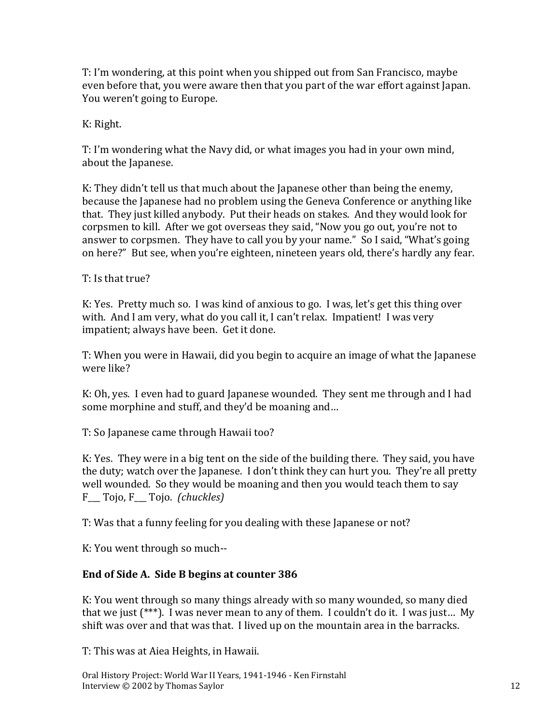T: I'm wondering, at this point when you shipped out from San Francisco, maybe even before that, you were aware then that you part of the war effort against Japan. You weren't going to Europe.

K: Right.

T: I'm wondering what the Navy did, or what images you had in your own mind, about the Japanese.

K: They didn't tell us that much about the Japanese other than being the enemy, because the Japanese had no problem using the Geneva Conference or anything like that. They just killed anybody. Put their heads on stakes. And they would look for corpsmen to kill. After we got overseas they said, "Now you go out, you're not to answer to corpsmen. They have to call you by your name." So I said, "What's going on here?" But see, when you're eighteen, nineteen years old, there's hardly any fear.

T: Is that true?

K: Yes. Pretty much so. I was kind of anxious to go. I was, let's get this thing over with. And I am very, what do you call it, I can't relax. Impatient! I was very impatient; always have been. Get it done.

T: When you were in Hawaii, did you begin to acquire an image of what the Japanese were like?

K: Oh, yes. I even had to guard Japanese wounded. They sent me through and I had some morphine and stuff, and they'd be moaning and…

T: So Japanese came through Hawaii too?

K: Yes. They were in a big tent on the side of the building there. They said, you have the duty; watch over the Japanese. I don't think they can hurt you. They're all pretty well wounded. So they would be moaning and then you would teach them to say F\_\_\_ Tojo, F\_\_\_ Tojo. *(chuckles)*

T: Was that a funny feeling for you dealing with these Japanese or not?

K: You went through so much--

#### **End of Side A. Side B begins at counter 386**

K: You went through so many things already with so many wounded, so many died that we just (\*\*\*). I was never mean to any of them. I couldn't do it. I was just… My shift was over and that was that. I lived up on the mountain area in the barracks.

T: This was at Aiea Heights, in Hawaii.

Oral History Project: World War II Years, 1941-1946 - Ken Firnstahl Interview © 2002 by Thomas Saylor 12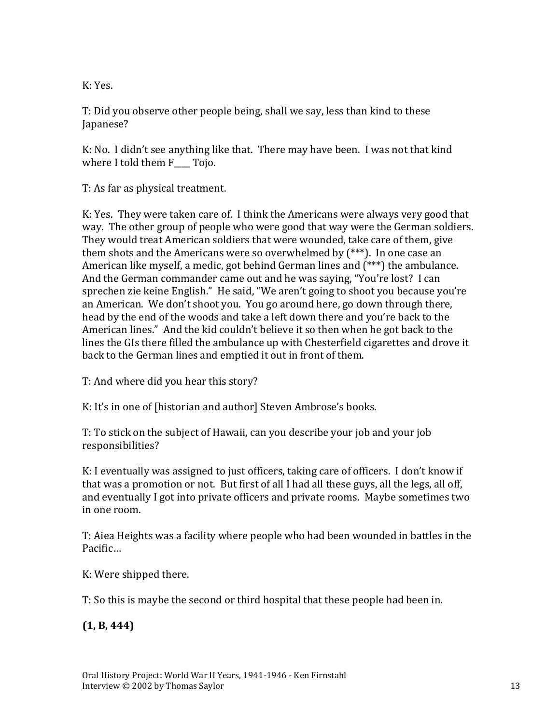K: Yes.

T: Did you observe other people being, shall we say, less than kind to these Japanese?

K: No. I didn't see anything like that. There may have been. I was not that kind where I told them F Tojo.

T: As far as physical treatment.

K: Yes. They were taken care of. I think the Americans were always very good that way. The other group of people who were good that way were the German soldiers. They would treat American soldiers that were wounded, take care of them, give them shots and the Americans were so overwhelmed by (\*\*\*). In one case an American like myself, a medic, got behind German lines and (\*\*\*) the ambulance. And the German commander came out and he was saying, "You're lost? I can sprechen zie keine English." He said, "We aren't going to shoot you because you're an American. We don't shoot you. You go around here, go down through there, head by the end of the woods and take a left down there and you're back to the American lines." And the kid couldn't believe it so then when he got back to the lines the GIs there filled the ambulance up with Chesterfield cigarettes and drove it back to the German lines and emptied it out in front of them.

T: And where did you hear this story?

K: It's in one of [historian and author] Steven Ambrose's books.

T: To stick on the subject of Hawaii, can you describe your job and your job responsibilities?

K: I eventually was assigned to just officers, taking care of officers. I don't know if that was a promotion or not. But first of all I had all these guys, all the legs, all off, and eventually I got into private officers and private rooms. Maybe sometimes two in one room.

T: Aiea Heights was a facility where people who had been wounded in battles in the Pacific…

K: Were shipped there.

T: So this is maybe the second or third hospital that these people had been in.

**(1, B, 444)**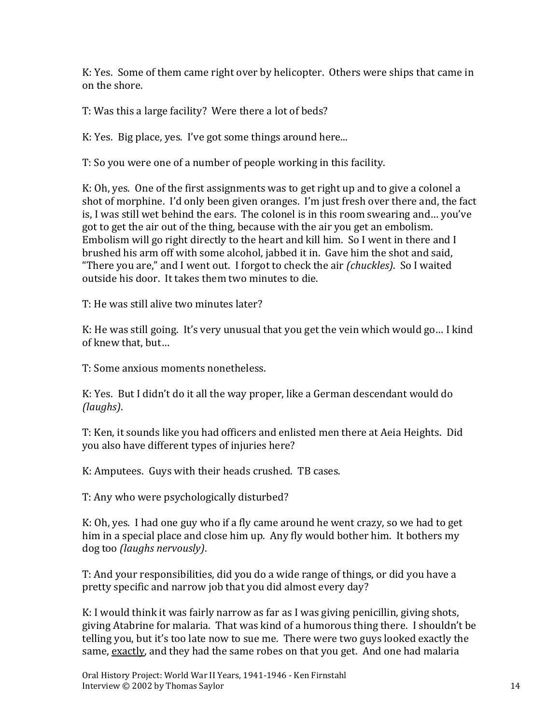K: Yes. Some of them came right over by helicopter. Others were ships that came in on the shore.

T: Was this a large facility? Were there a lot of beds?

K: Yes. Big place, yes. I've got some things around here...

T: So you were one of a number of people working in this facility.

K: Oh, yes. One of the first assignments was to get right up and to give a colonel a shot of morphine. I'd only been given oranges. I'm just fresh over there and, the fact is, I was still wet behind the ears. The colonel is in this room swearing and… you've got to get the air out of the thing, because with the air you get an embolism. Embolism will go right directly to the heart and kill him. So I went in there and I brushed his arm off with some alcohol, jabbed it in. Gave him the shot and said, "There you are," and I went out. I forgot to check the air *(chuckles)*. So I waited outside his door. It takes them two minutes to die.

T: He was still alive two minutes later?

K: He was still going. It's very unusual that you get the vein which would go… I kind of knew that, but…

T: Some anxious moments nonetheless.

K: Yes. But I didn't do it all the way proper, like a German descendant would do *(laughs)*.

T: Ken, it sounds like you had officers and enlisted men there at Aeia Heights. Did you also have different types of injuries here?

K: Amputees. Guys with their heads crushed. TB cases.

T: Any who were psychologically disturbed?

K: Oh, yes. I had one guy who if a fly came around he went crazy, so we had to get him in a special place and close him up. Any fly would bother him. It bothers my dog too *(laughs nervously)*.

T: And your responsibilities, did you do a wide range of things, or did you have a pretty specific and narrow job that you did almost every day?

K: I would think it was fairly narrow as far as I was giving penicillin, giving shots, giving Atabrine for malaria. That was kind of a humorous thing there. I shouldn't be telling you, but it's too late now to sue me. There were two guys looked exactly the same, exactly, and they had the same robes on that you get. And one had malaria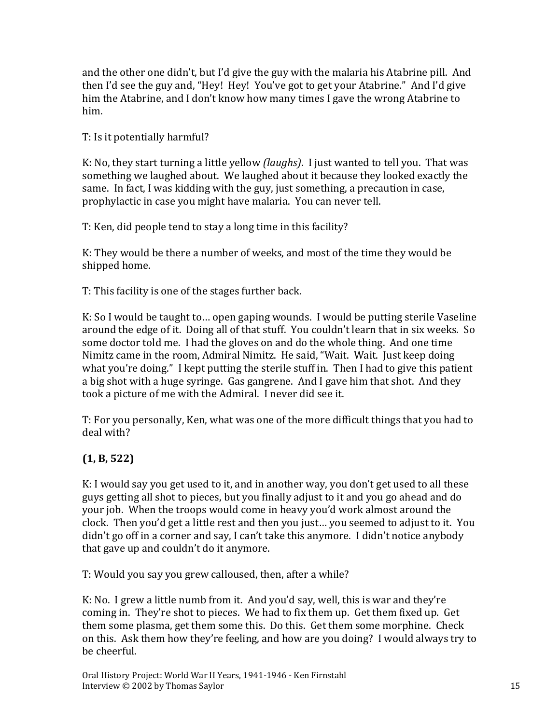and the other one didn't, but I'd give the guy with the malaria his Atabrine pill. And then I'd see the guy and, "Hey! Hey! You've got to get your Atabrine." And I'd give him the Atabrine, and I don't know how many times I gave the wrong Atabrine to him.

T: Is it potentially harmful?

K: No, they start turning a little yellow *(laughs)*. I just wanted to tell you. That was something we laughed about. We laughed about it because they looked exactly the same. In fact, I was kidding with the guy, just something, a precaution in case, prophylactic in case you might have malaria. You can never tell.

T: Ken, did people tend to stay a long time in this facility?

K: They would be there a number of weeks, and most of the time they would be shipped home.

T: This facility is one of the stages further back.

K: So I would be taught to… open gaping wounds. I would be putting sterile Vaseline around the edge of it. Doing all of that stuff. You couldn't learn that in six weeks. So some doctor told me. I had the gloves on and do the whole thing. And one time Nimitz came in the room, Admiral Nimitz. He said, "Wait. Wait. Just keep doing what you're doing." I kept putting the sterile stuff in. Then I had to give this patient a big shot with a huge syringe. Gas gangrene. And I gave him that shot. And they took a picture of me with the Admiral. I never did see it.

T: For you personally, Ken, what was one of the more difficult things that you had to deal with?

# **(1, B, 522)**

K: I would say you get used to it, and in another way, you don't get used to all these guys getting all shot to pieces, but you finally adjust to it and you go ahead and do your job. When the troops would come in heavy you'd work almost around the clock. Then you'd get a little rest and then you just… you seemed to adjust to it. You didn't go off in a corner and say, I can't take this anymore. I didn't notice anybody that gave up and couldn't do it anymore.

T: Would you say you grew calloused, then, after a while?

K: No. I grew a little numb from it. And you'd say, well, this is war and they're coming in. They're shot to pieces. We had to fix them up. Get them fixed up. Get them some plasma, get them some this. Do this. Get them some morphine. Check on this. Ask them how they're feeling, and how are you doing? I would always try to be cheerful.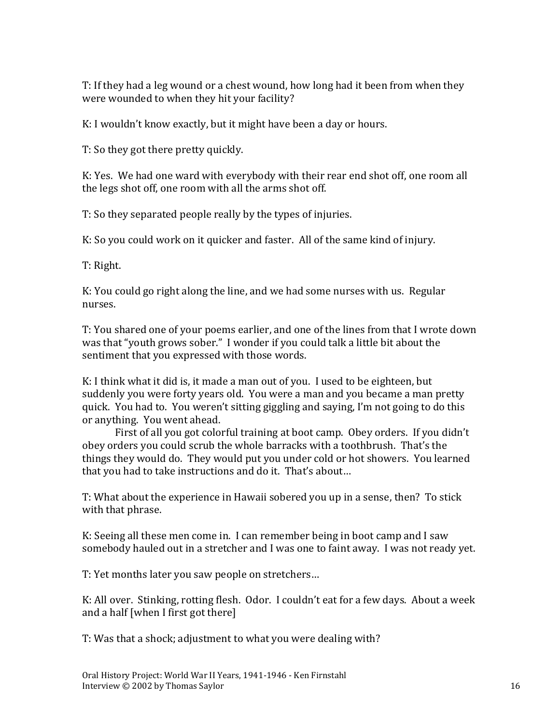T: If they had a leg wound or a chest wound, how long had it been from when they were wounded to when they hit your facility?

K: I wouldn't know exactly, but it might have been a day or hours.

T: So they got there pretty quickly.

K: Yes. We had one ward with everybody with their rear end shot off, one room all the legs shot off, one room with all the arms shot off.

T: So they separated people really by the types of injuries.

K: So you could work on it quicker and faster. All of the same kind of injury.

T: Right.

K: You could go right along the line, and we had some nurses with us. Regular nurses.

T: You shared one of your poems earlier, and one of the lines from that I wrote down was that "youth grows sober." I wonder if you could talk a little bit about the sentiment that you expressed with those words.

K: I think what it did is, it made a man out of you. I used to be eighteen, but suddenly you were forty years old. You were a man and you became a man pretty quick. You had to. You weren't sitting giggling and saying, I'm not going to do this or anything. You went ahead.

First of all you got colorful training at boot camp. Obey orders. If you didn't obey orders you could scrub the whole barracks with a toothbrush. That's the things they would do. They would put you under cold or hot showers. You learned that you had to take instructions and do it. That's about…

T: What about the experience in Hawaii sobered you up in a sense, then? To stick with that phrase.

K: Seeing all these men come in. I can remember being in boot camp and I saw somebody hauled out in a stretcher and I was one to faint away. I was not ready yet.

T: Yet months later you saw people on stretchers…

K: All over. Stinking, rotting flesh. Odor. I couldn't eat for a few days. About a week and a half [when I first got there]

T: Was that a shock; adjustment to what you were dealing with?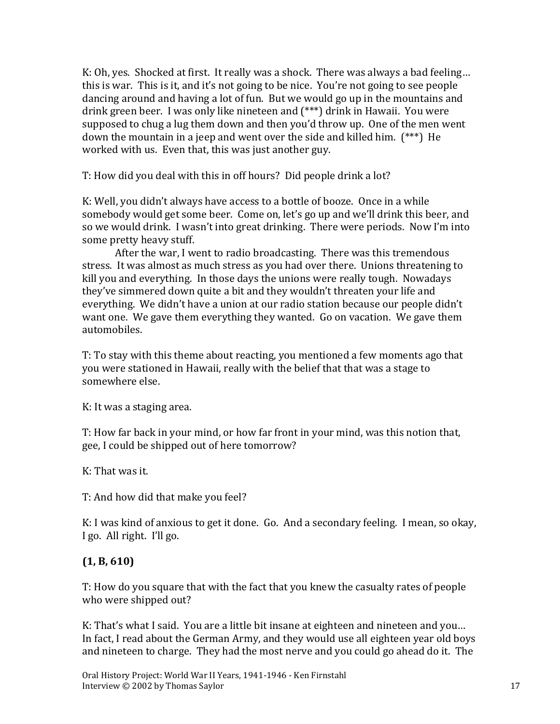K: Oh, yes. Shocked at first. It really was a shock. There was always a bad feeling… this is war. This is it, and it's not going to be nice. You're not going to see people dancing around and having a lot of fun. But we would go up in the mountains and drink green beer. I was only like nineteen and (\*\*\*) drink in Hawaii. You were supposed to chug a lug them down and then you'd throw up. One of the men went down the mountain in a jeep and went over the side and killed him. (\*\*\*) He worked with us. Even that, this was just another guy.

T: How did you deal with this in off hours? Did people drink a lot?

K: Well, you didn't always have access to a bottle of booze. Once in a while somebody would get some beer. Come on, let's go up and we'll drink this beer, and so we would drink. I wasn't into great drinking. There were periods. Now I'm into some pretty heavy stuff.

After the war, I went to radio broadcasting. There was this tremendous stress. It was almost as much stress as you had over there. Unions threatening to kill you and everything. In those days the unions were really tough. Nowadays they've simmered down quite a bit and they wouldn't threaten your life and everything. We didn't have a union at our radio station because our people didn't want one. We gave them everything they wanted. Go on vacation. We gave them automobiles.

T: To stay with this theme about reacting, you mentioned a few moments ago that you were stationed in Hawaii, really with the belief that that was a stage to somewhere else.

K: It was a staging area.

T: How far back in your mind, or how far front in your mind, was this notion that, gee, I could be shipped out of here tomorrow?

K: That was it.

T: And how did that make you feel?

K: I was kind of anxious to get it done. Go. And a secondary feeling. I mean, so okay, I go. All right. I'll go.

# **(1, B, 610)**

T: How do you square that with the fact that you knew the casualty rates of people who were shipped out?

K: That's what I said. You are a little bit insane at eighteen and nineteen and you… In fact, I read about the German Army, and they would use all eighteen year old boys and nineteen to charge. They had the most nerve and you could go ahead do it. The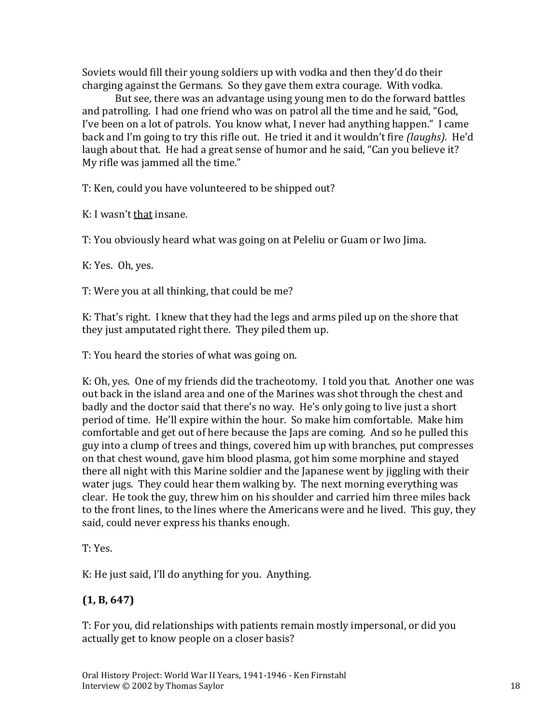Soviets would fill their young soldiers up with vodka and then they'd do their charging against the Germans. So they gave them extra courage. With vodka.

But see, there was an advantage using young men to do the forward battles and patrolling. I had one friend who was on patrol all the time and he said, "God, I've been on a lot of patrols. You know what, I never had anything happen." I came back and I'm going to try this rifle out. He tried it and it wouldn't fire *(laughs)*. He'd laugh about that. He had a great sense of humor and he said, "Can you believe it? My rifle was jammed all the time."

T: Ken, could you have volunteered to be shipped out?

K: I wasn't that insane.

T: You obviously heard what was going on at Peleliu or Guam or Iwo Jima.

K: Yes. Oh, yes.

T: Were you at all thinking, that could be me?

K: That's right. I knew that they had the legs and arms piled up on the shore that they just amputated right there. They piled them up.

T: You heard the stories of what was going on.

K: Oh, yes. One of my friends did the tracheotomy. I told you that. Another one was out back in the island area and one of the Marines was shot through the chest and badly and the doctor said that there's no way. He's only going to live just a short period of time. He'll expire within the hour. So make him comfortable. Make him comfortable and get out of here because the Japs are coming. And so he pulled this guy into a clump of trees and things, covered him up with branches, put compresses on that chest wound, gave him blood plasma, got him some morphine and stayed there all night with this Marine soldier and the Japanese went by jiggling with their water jugs. They could hear them walking by. The next morning everything was clear. He took the guy, threw him on his shoulder and carried him three miles back to the front lines, to the lines where the Americans were and he lived. This guy, they said, could never express his thanks enough.

T: Yes.

K: He just said, I'll do anything for you. Anything.

# **(1, B, 647)**

T: For you, did relationships with patients remain mostly impersonal, or did you actually get to know people on a closer basis?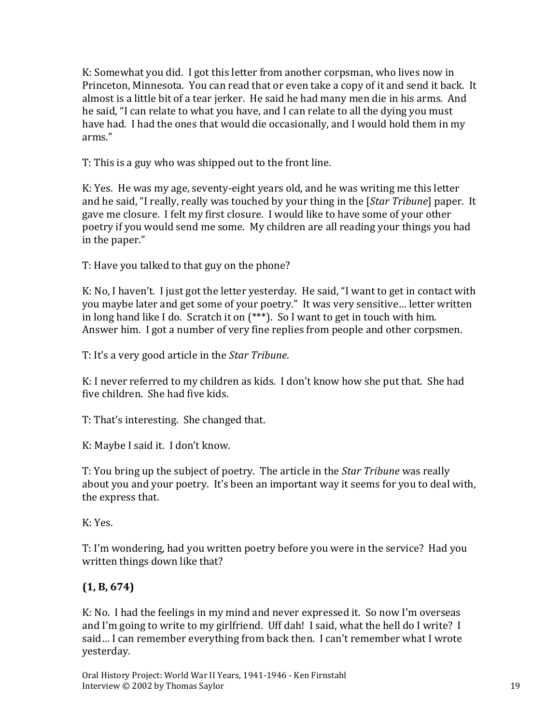K: Somewhat you did. I got this letter from another corpsman, who lives now in Princeton, Minnesota. You can read that or even take a copy of it and send it back. It almost is a little bit of a tear jerker. He said he had many men die in his arms. And he said, "I can relate to what you have, and I can relate to all the dying you must have had. I had the ones that would die occasionally, and I would hold them in my arms."

T: This is a guy who was shipped out to the front line.

K: Yes. He was my age, seventy-eight years old, and he was writing me this letter and he said, "I really, really was touched by your thing in the [*Star Tribune*] paper. It gave me closure. I felt my first closure. I would like to have some of your other poetry if you would send me some. My children are all reading your things you had in the paper."

T: Have you talked to that guy on the phone?

K: No, I haven't. I just got the letter yesterday. He said, "I want to get in contact with you maybe later and get some of your poetry." It was very sensitive… letter written in long hand like I do. Scratch it on (\*\*\*). So I want to get in touch with him. Answer him. I got a number of very fine replies from people and other corpsmen.

T: It's a very good article in the *Star Tribune*.

K: I never referred to my children as kids. I don't know how she put that. She had five children. She had five kids.

T: That's interesting. She changed that.

K: Maybe I said it. I don't know.

T: You bring up the subject of poetry. The article in the *Star Tribune* was really about you and your poetry. It's been an important way it seems for you to deal with, the express that.

K: Yes.

T: I'm wondering, had you written poetry before you were in the service? Had you written things down like that?

# **(1, B, 674)**

K: No. I had the feelings in my mind and never expressed it. So now I'm overseas and I'm going to write to my girlfriend. Uff dah! I said, what the hell do I write? I said… I can remember everything from back then. I can't remember what I wrote yesterday.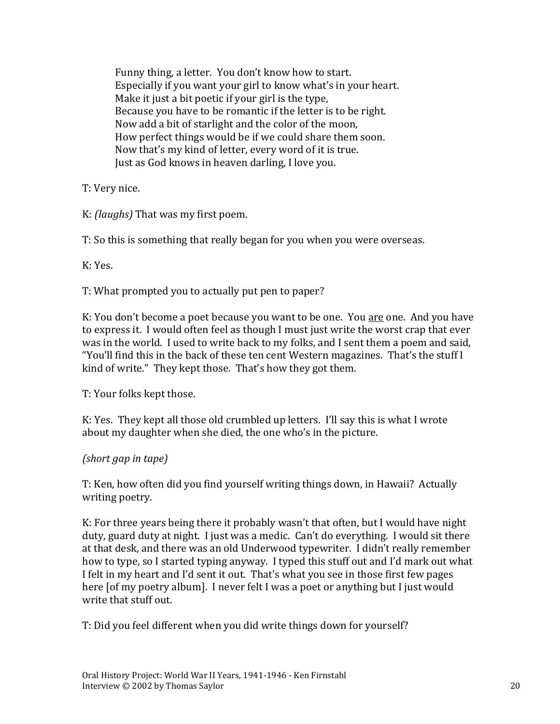Funny thing, a letter. You don't know how to start. Especially if you want your girl to know what's in your heart. Make it just a bit poetic if your girl is the type, Because you have to be romantic if the letter is to be right. Now add a bit of starlight and the color of the moon, How perfect things would be if we could share them soon. Now that's my kind of letter, every word of it is true. Just as God knows in heaven darling, I love you.

T: Very nice.

K: *(laughs)* That was my first poem.

T: So this is something that really began for you when you were overseas.

K: Yes.

T: What prompted you to actually put pen to paper?

K: You don't become a poet because you want to be one. You are one. And you have to express it. I would often feel as though I must just write the worst crap that ever was in the world. I used to write back to my folks, and I sent them a poem and said, "You'll find this in the back of these ten cent Western magazines. That's the stuff I kind of write." They kept those. That's how they got them.

T: Your folks kept those.

K: Yes. They kept all those old crumbled up letters. I'll say this is what I wrote about my daughter when she died, the one who's in the picture.

*(short gap in tape)*

T: Ken, how often did you find yourself writing things down, in Hawaii? Actually writing poetry.

K: For three years being there it probably wasn't that often, but I would have night duty, guard duty at night. I just was a medic. Can't do everything. I would sit there at that desk, and there was an old Underwood typewriter. I didn't really remember how to type, so I started typing anyway. I typed this stuff out and I'd mark out what I felt in my heart and I'd sent it out. That's what you see in those first few pages here [of my poetry album]. I never felt I was a poet or anything but I just would write that stuff out.

T: Did you feel different when you did write things down for yourself?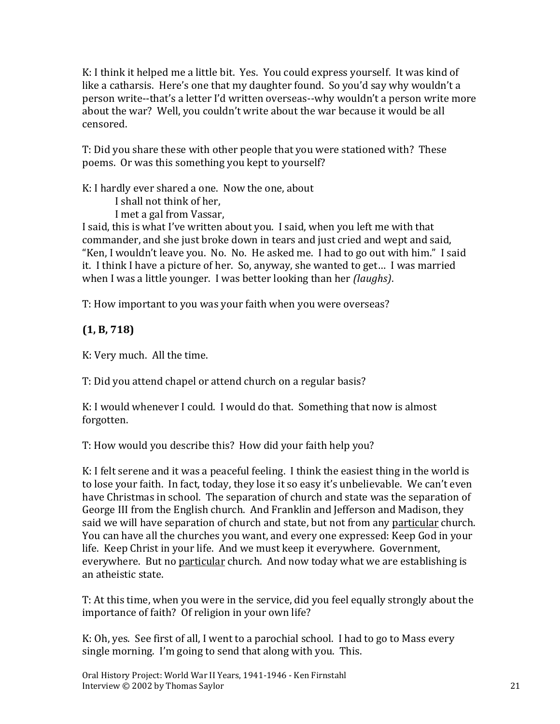K: I think it helped me a little bit. Yes. You could express yourself. It was kind of like a catharsis. Here's one that my daughter found. So you'd say why wouldn't a person write--that's a letter I'd written overseas--why wouldn't a person write more about the war? Well, you couldn't write about the war because it would be all censored.

T: Did you share these with other people that you were stationed with? These poems. Or was this something you kept to yourself?

K: I hardly ever shared a one. Now the one, about

I shall not think of her,

I met a gal from Vassar,

I said, this is what I've written about you. I said, when you left me with that commander, and she just broke down in tears and just cried and wept and said, "Ken, I wouldn't leave you. No. No. He asked me. I had to go out with him." I said it. I think I have a picture of her. So, anyway, she wanted to get… I was married when I was a little younger. I was better looking than her *(laughs)*.

T: How important to you was your faith when you were overseas?

**(1, B, 718)**

K: Very much. All the time.

T: Did you attend chapel or attend church on a regular basis?

K: I would whenever I could. I would do that. Something that now is almost forgotten.

T: How would you describe this? How did your faith help you?

K: I felt serene and it was a peaceful feeling. I think the easiest thing in the world is to lose your faith. In fact, today, they lose it so easy it's unbelievable. We can't even have Christmas in school. The separation of church and state was the separation of George III from the English church. And Franklin and Jefferson and Madison, they said we will have separation of church and state, but not from any particular church. You can have all the churches you want, and every one expressed: Keep God in your life. Keep Christ in your life. And we must keep it everywhere. Government, everywhere. But no particular church. And now today what we are establishing is an atheistic state.

T: At this time, when you were in the service, did you feel equally strongly about the importance of faith? Of religion in your own life?

K: Oh, yes. See first of all, I went to a parochial school. I had to go to Mass every single morning. I'm going to send that along with you. This.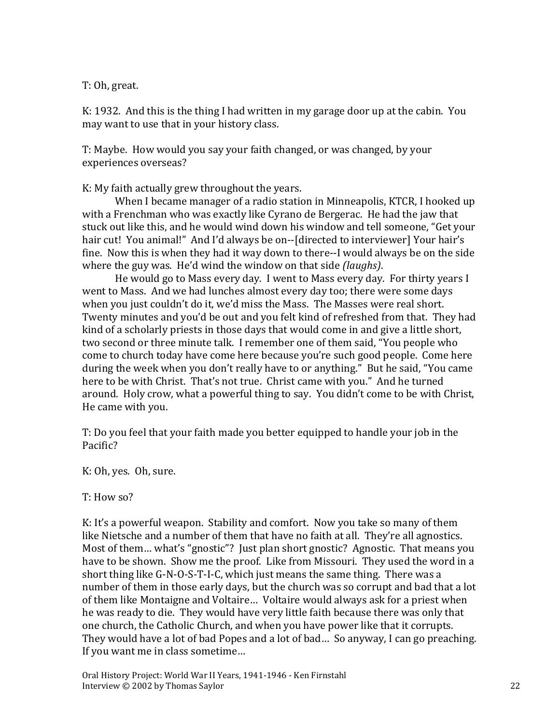#### T: Oh, great.

K: 1932. And this is the thing I had written in my garage door up at the cabin. You may want to use that in your history class.

T: Maybe. How would you say your faith changed, or was changed, by your experiences overseas?

K: My faith actually grew throughout the years.

When I became manager of a radio station in Minneapolis, KTCR, I hooked up with a Frenchman who was exactly like Cyrano de Bergerac. He had the jaw that stuck out like this, and he would wind down his window and tell someone, "Get your hair cut! You animal!" And I'd always be on--[directed to interviewer] Your hair's fine. Now this is when they had it way down to there--I would always be on the side where the guy was. He'd wind the window on that side *(laughs)*.

He would go to Mass every day. I went to Mass every day. For thirty years I went to Mass. And we had lunches almost every day too; there were some days when you just couldn't do it, we'd miss the Mass. The Masses were real short. Twenty minutes and you'd be out and you felt kind of refreshed from that. They had kind of a scholarly priests in those days that would come in and give a little short, two second or three minute talk. I remember one of them said, "You people who come to church today have come here because you're such good people. Come here during the week when you don't really have to or anything." But he said, "You came here to be with Christ. That's not true. Christ came with you." And he turned around. Holy crow, what a powerful thing to say. You didn't come to be with Christ, He came with you.

T: Do you feel that your faith made you better equipped to handle your job in the Pacific?

K: Oh, yes. Oh, sure.

T: How so?

K: It's a powerful weapon. Stability and comfort. Now you take so many of them like Nietsche and a number of them that have no faith at all. They're all agnostics. Most of them… what's "gnostic"? Just plan short gnostic? Agnostic. That means you have to be shown. Show me the proof. Like from Missouri. They used the word in a short thing like G-N-O-S-T-I-C, which just means the same thing. There was a number of them in those early days, but the church was so corrupt and bad that a lot of them like Montaigne and Voltaire… Voltaire would always ask for a priest when he was ready to die. They would have very little faith because there was only that one church, the Catholic Church, and when you have power like that it corrupts. They would have a lot of bad Popes and a lot of bad… So anyway, I can go preaching. If you want me in class sometime…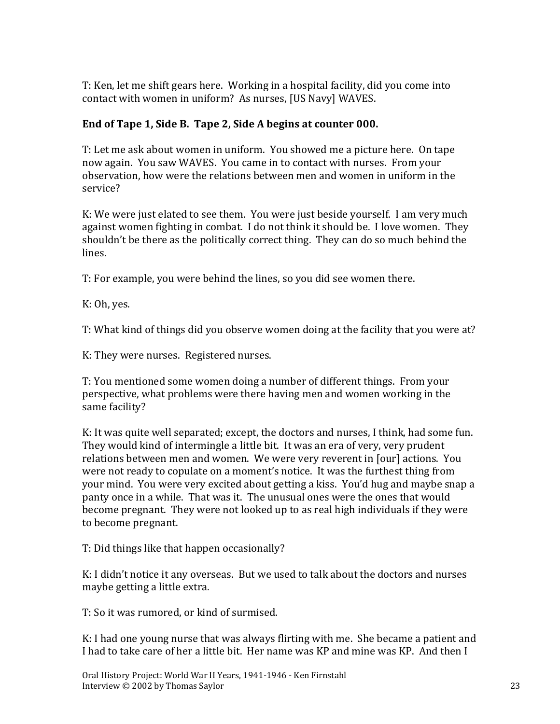T: Ken, let me shift gears here. Working in a hospital facility, did you come into contact with women in uniform? As nurses, [US Navy] WAVES.

#### **End of Tape 1, Side B. Tape 2, Side A begins at counter 000.**

T: Let me ask about women in uniform. You showed me a picture here. On tape now again. You saw WAVES. You came in to contact with nurses. From your observation, how were the relations between men and women in uniform in the service?

K: We were just elated to see them. You were just beside yourself. I am very much against women fighting in combat. I do not think it should be. I love women. They shouldn't be there as the politically correct thing. They can do so much behind the lines.

T: For example, you were behind the lines, so you did see women there.

K: Oh, yes.

T: What kind of things did you observe women doing at the facility that you were at?

K: They were nurses. Registered nurses.

T: You mentioned some women doing a number of different things. From your perspective, what problems were there having men and women working in the same facility?

K: It was quite well separated; except, the doctors and nurses, I think, had some fun. They would kind of intermingle a little bit. It was an era of very, very prudent relations between men and women. We were very reverent in [our] actions. You were not ready to copulate on a moment's notice. It was the furthest thing from your mind. You were very excited about getting a kiss. You'd hug and maybe snap a panty once in a while. That was it. The unusual ones were the ones that would become pregnant. They were not looked up to as real high individuals if they were to become pregnant.

T: Did things like that happen occasionally?

K: I didn't notice it any overseas. But we used to talk about the doctors and nurses maybe getting a little extra.

T: So it was rumored, or kind of surmised.

K: I had one young nurse that was always flirting with me. She became a patient and I had to take care of her a little bit. Her name was KP and mine was KP. And then I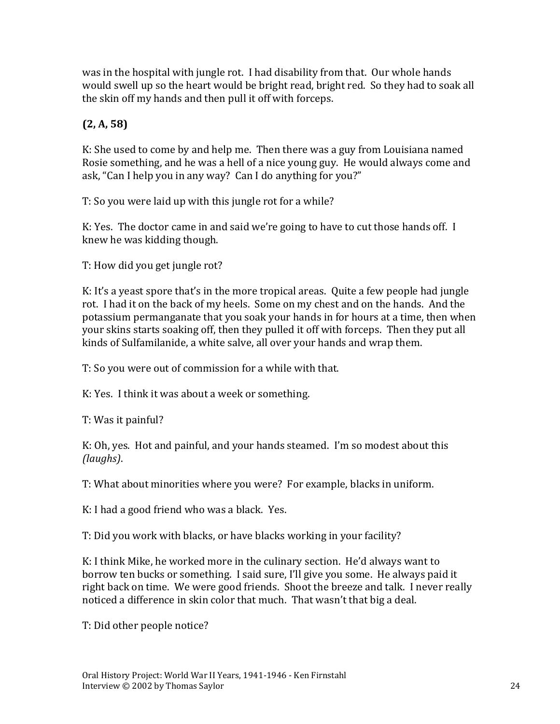was in the hospital with jungle rot. I had disability from that. Our whole hands would swell up so the heart would be bright read, bright red. So they had to soak all the skin off my hands and then pull it off with forceps.

# **(2, A, 58)**

K: She used to come by and help me. Then there was a guy from Louisiana named Rosie something, and he was a hell of a nice young guy. He would always come and ask, "Can I help you in any way? Can I do anything for you?"

T: So you were laid up with this jungle rot for a while?

K: Yes. The doctor came in and said we're going to have to cut those hands off. I knew he was kidding though.

T: How did you get jungle rot?

K: It's a yeast spore that's in the more tropical areas. Quite a few people had jungle rot. I had it on the back of my heels. Some on my chest and on the hands. And the potassium permanganate that you soak your hands in for hours at a time, then when your skins starts soaking off, then they pulled it off with forceps. Then they put all kinds of Sulfamilanide, a white salve, all over your hands and wrap them.

T: So you were out of commission for a while with that.

K: Yes. I think it was about a week or something.

T: Was it painful?

K: Oh, yes. Hot and painful, and your hands steamed. I'm so modest about this *(laughs)*.

T: What about minorities where you were? For example, blacks in uniform.

K: I had a good friend who was a black. Yes.

T: Did you work with blacks, or have blacks working in your facility?

K: I think Mike, he worked more in the culinary section. He'd always want to borrow ten bucks or something. I said sure, I'll give you some. He always paid it right back on time. We were good friends. Shoot the breeze and talk. I never really noticed a difference in skin color that much. That wasn't that big a deal.

T: Did other people notice?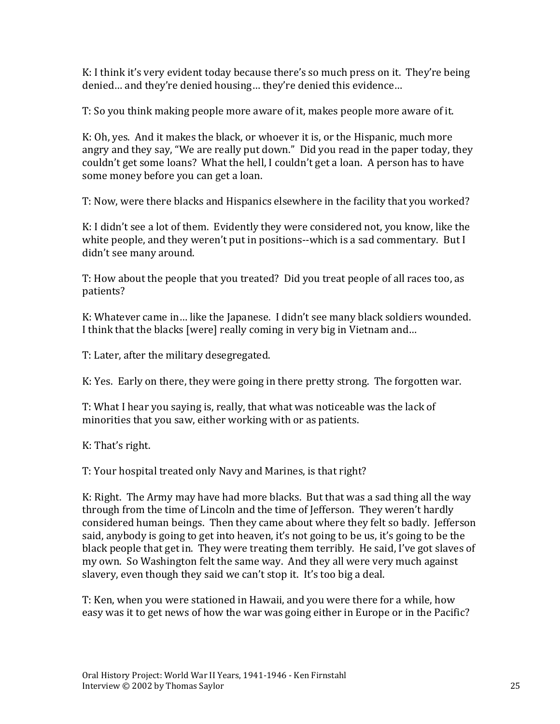K: I think it's very evident today because there's so much press on it. They're being denied… and they're denied housing… they're denied this evidence…

T: So you think making people more aware of it, makes people more aware of it.

K: Oh, yes. And it makes the black, or whoever it is, or the Hispanic, much more angry and they say, "We are really put down." Did you read in the paper today, they couldn't get some loans? What the hell, I couldn't get a loan. A person has to have some money before you can get a loan.

T: Now, were there blacks and Hispanics elsewhere in the facility that you worked?

K: I didn't see a lot of them. Evidently they were considered not, you know, like the white people, and they weren't put in positions--which is a sad commentary. But I didn't see many around.

T: How about the people that you treated? Did you treat people of all races too, as patients?

K: Whatever came in… like the Japanese. I didn't see many black soldiers wounded. I think that the blacks [were] really coming in very big in Vietnam and…

T: Later, after the military desegregated.

K: Yes. Early on there, they were going in there pretty strong. The forgotten war.

T: What I hear you saying is, really, that what was noticeable was the lack of minorities that you saw, either working with or as patients.

K: That's right.

T: Your hospital treated only Navy and Marines, is that right?

K: Right. The Army may have had more blacks. But that was a sad thing all the way through from the time of Lincoln and the time of Jefferson. They weren't hardly considered human beings. Then they came about where they felt so badly. Jefferson said, anybody is going to get into heaven, it's not going to be us, it's going to be the black people that get in. They were treating them terribly. He said, I've got slaves of my own. So Washington felt the same way. And they all were very much against slavery, even though they said we can't stop it. It's too big a deal.

T: Ken, when you were stationed in Hawaii, and you were there for a while, how easy was it to get news of how the war was going either in Europe or in the Pacific?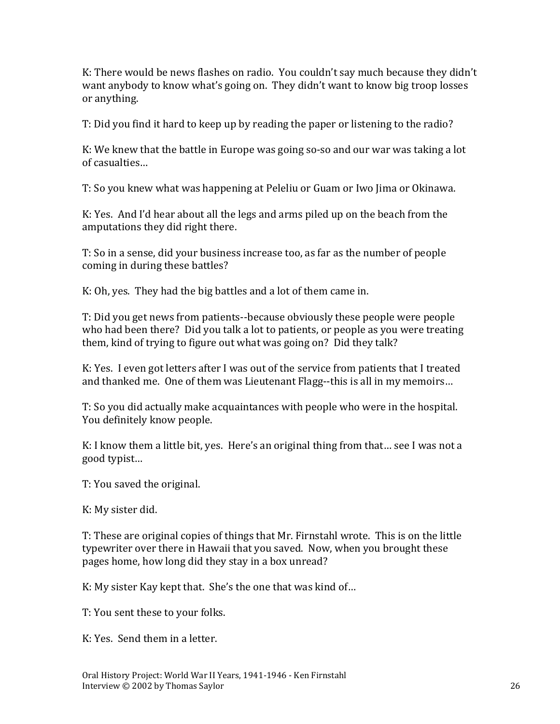K: There would be news flashes on radio. You couldn't say much because they didn't want anybody to know what's going on. They didn't want to know big troop losses or anything.

T: Did you find it hard to keep up by reading the paper or listening to the radio?

K: We knew that the battle in Europe was going so-so and our war was taking a lot of casualties…

T: So you knew what was happening at Peleliu or Guam or Iwo Jima or Okinawa.

K: Yes. And I'd hear about all the legs and arms piled up on the beach from the amputations they did right there.

T: So in a sense, did your business increase too, as far as the number of people coming in during these battles?

K: Oh, yes. They had the big battles and a lot of them came in.

T: Did you get news from patients--because obviously these people were people who had been there? Did you talk a lot to patients, or people as you were treating them, kind of trying to figure out what was going on? Did they talk?

K: Yes. I even got letters after I was out of the service from patients that I treated and thanked me. One of them was Lieutenant Flagg--this is all in my memoirs…

T: So you did actually make acquaintances with people who were in the hospital. You definitely know people.

K: I know them a little bit, yes. Here's an original thing from that… see I was not a good typist…

T: You saved the original.

K: My sister did.

T: These are original copies of things that Mr. Firnstahl wrote. This is on the little typewriter over there in Hawaii that you saved. Now, when you brought these pages home, how long did they stay in a box unread?

K: My sister Kay kept that. She's the one that was kind of…

T: You sent these to your folks.

K: Yes. Send them in a letter.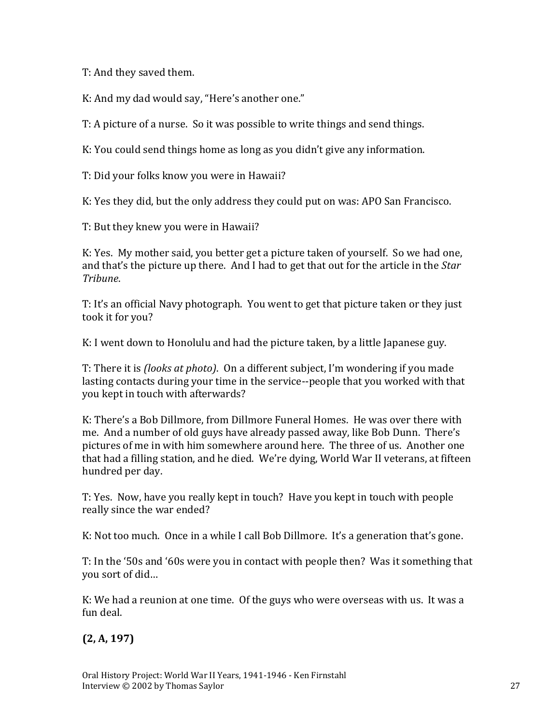T: And they saved them.

K: And my dad would say, "Here's another one."

T: A picture of a nurse. So it was possible to write things and send things.

K: You could send things home as long as you didn't give any information.

T: Did your folks know you were in Hawaii?

K: Yes they did, but the only address they could put on was: APO San Francisco.

T: But they knew you were in Hawaii?

K: Yes. My mother said, you better get a picture taken of yourself. So we had one, and that's the picture up there. And I had to get that out for the article in the *Star Tribune*.

T: It's an official Navy photograph. You went to get that picture taken or they just took it for you?

K: I went down to Honolulu and had the picture taken, by a little Japanese guy.

T: There it is *(looks at photo)*. On a different subject, I'm wondering if you made lasting contacts during your time in the service--people that you worked with that you kept in touch with afterwards?

K: There's a Bob Dillmore, from Dillmore Funeral Homes. He was over there with me. And a number of old guys have already passed away, like Bob Dunn. There's pictures of me in with him somewhere around here. The three of us. Another one that had a filling station, and he died. We're dying, World War II veterans, at fifteen hundred per day.

T: Yes. Now, have you really kept in touch? Have you kept in touch with people really since the war ended?

K: Not too much. Once in a while I call Bob Dillmore. It's a generation that's gone.

T: In the '50s and '60s were you in contact with people then? Was it something that you sort of did…

K: We had a reunion at one time. Of the guys who were overseas with us. It was a fun deal.

**(2, A, 197)**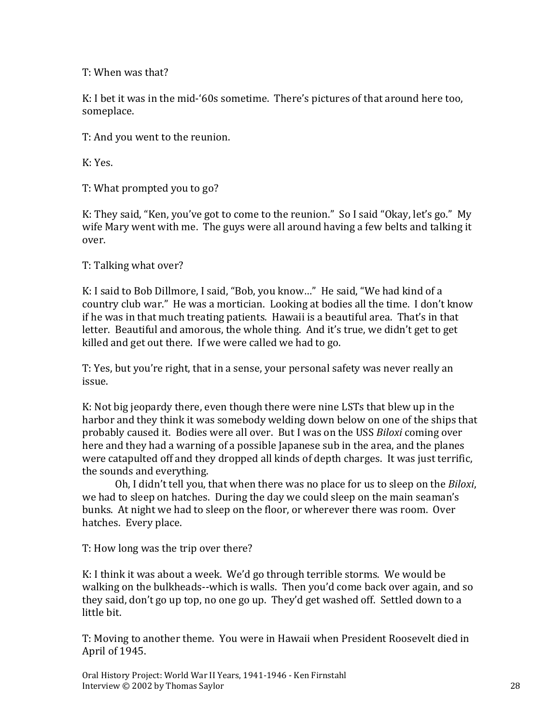T: When was that?

K: I bet it was in the mid-'60s sometime. There's pictures of that around here too, someplace.

T: And you went to the reunion.

K: Yes.

T: What prompted you to go?

K: They said, "Ken, you've got to come to the reunion." So I said "Okay, let's go." My wife Mary went with me. The guys were all around having a few belts and talking it over.

T: Talking what over?

K: I said to Bob Dillmore, I said, "Bob, you know…" He said, "We had kind of a country club war." He was a mortician. Looking at bodies all the time. I don't know if he was in that much treating patients. Hawaii is a beautiful area. That's in that letter. Beautiful and amorous, the whole thing. And it's true, we didn't get to get killed and get out there. If we were called we had to go.

T: Yes, but you're right, that in a sense, your personal safety was never really an issue.

K: Not big jeopardy there, even though there were nine LSTs that blew up in the harbor and they think it was somebody welding down below on one of the ships that probably caused it. Bodies were all over. But I was on the USS *Biloxi* coming over here and they had a warning of a possible Japanese sub in the area, and the planes were catapulted off and they dropped all kinds of depth charges. It was just terrific, the sounds and everything.

Oh, I didn't tell you, that when there was no place for us to sleep on the *Biloxi*, we had to sleep on hatches. During the day we could sleep on the main seaman's bunks. At night we had to sleep on the floor, or wherever there was room. Over hatches. Every place.

T: How long was the trip over there?

K: I think it was about a week. We'd go through terrible storms. We would be walking on the bulkheads--which is walls. Then you'd come back over again, and so they said, don't go up top, no one go up. They'd get washed off. Settled down to a little bit.

T: Moving to another theme. You were in Hawaii when President Roosevelt died in April of 1945.

Oral History Project: World War II Years, 1941-1946 - Ken Firnstahl Interview © 2002 by Thomas Saylor 28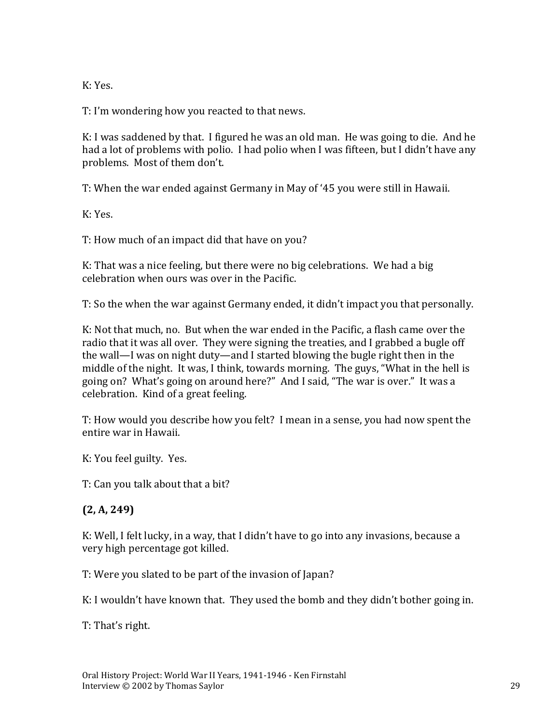K: Yes.

T: I'm wondering how you reacted to that news.

K: I was saddened by that. I figured he was an old man. He was going to die. And he had a lot of problems with polio. I had polio when I was fifteen, but I didn't have any problems. Most of them don't.

T: When the war ended against Germany in May of '45 you were still in Hawaii.

K: Yes.

T: How much of an impact did that have on you?

K: That was a nice feeling, but there were no big celebrations. We had a big celebration when ours was over in the Pacific.

T: So the when the war against Germany ended, it didn't impact you that personally.

K: Not that much, no. But when the war ended in the Pacific, a flash came over the radio that it was all over. They were signing the treaties, and I grabbed a bugle off the wall—I was on night duty—and I started blowing the bugle right then in the middle of the night. It was, I think, towards morning. The guys, "What in the hell is going on? What's going on around here?" And I said, "The war is over." It was a celebration. Kind of a great feeling.

T: How would you describe how you felt? I mean in a sense, you had now spent the entire war in Hawaii.

K: You feel guilty. Yes.

T: Can you talk about that a bit?

#### **(2, A, 249)**

K: Well, I felt lucky, in a way, that I didn't have to go into any invasions, because a very high percentage got killed.

T: Were you slated to be part of the invasion of Japan?

K: I wouldn't have known that. They used the bomb and they didn't bother going in.

T: That's right.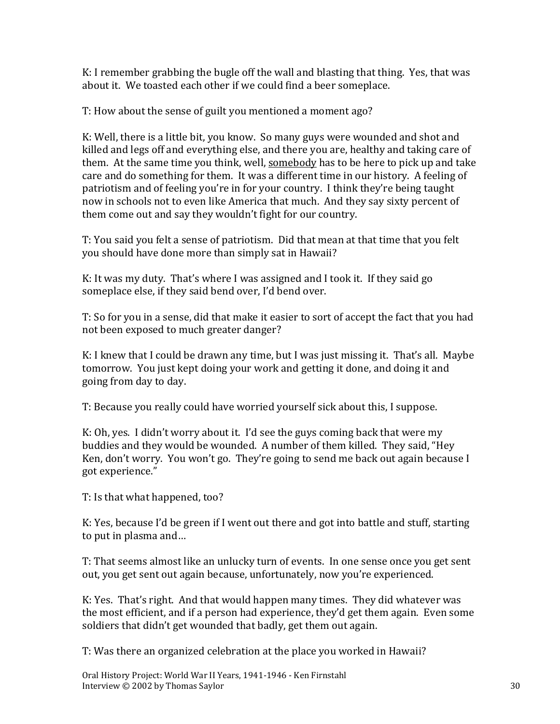K: I remember grabbing the bugle off the wall and blasting that thing. Yes, that was about it. We toasted each other if we could find a beer someplace.

T: How about the sense of guilt you mentioned a moment ago?

K: Well, there is a little bit, you know. So many guys were wounded and shot and killed and legs off and everything else, and there you are, healthy and taking care of them. At the same time you think, well, somebody has to be here to pick up and take care and do something for them. It was a different time in our history. A feeling of patriotism and of feeling you're in for your country. I think they're being taught now in schools not to even like America that much. And they say sixty percent of them come out and say they wouldn't fight for our country.

T: You said you felt a sense of patriotism. Did that mean at that time that you felt you should have done more than simply sat in Hawaii?

K: It was my duty. That's where I was assigned and I took it. If they said go someplace else, if they said bend over, I'd bend over.

T: So for you in a sense, did that make it easier to sort of accept the fact that you had not been exposed to much greater danger?

K: I knew that I could be drawn any time, but I was just missing it. That's all. Maybe tomorrow. You just kept doing your work and getting it done, and doing it and going from day to day.

T: Because you really could have worried yourself sick about this, I suppose.

K: Oh, yes. I didn't worry about it. I'd see the guys coming back that were my buddies and they would be wounded. A number of them killed. They said, "Hey Ken, don't worry. You won't go. They're going to send me back out again because I got experience."

T: Is that what happened, too?

K: Yes, because I'd be green if I went out there and got into battle and stuff, starting to put in plasma and…

T: That seems almost like an unlucky turn of events. In one sense once you get sent out, you get sent out again because, unfortunately, now you're experienced.

K: Yes. That's right. And that would happen many times. They did whatever was the most efficient, and if a person had experience, they'd get them again. Even some soldiers that didn't get wounded that badly, get them out again.

T: Was there an organized celebration at the place you worked in Hawaii?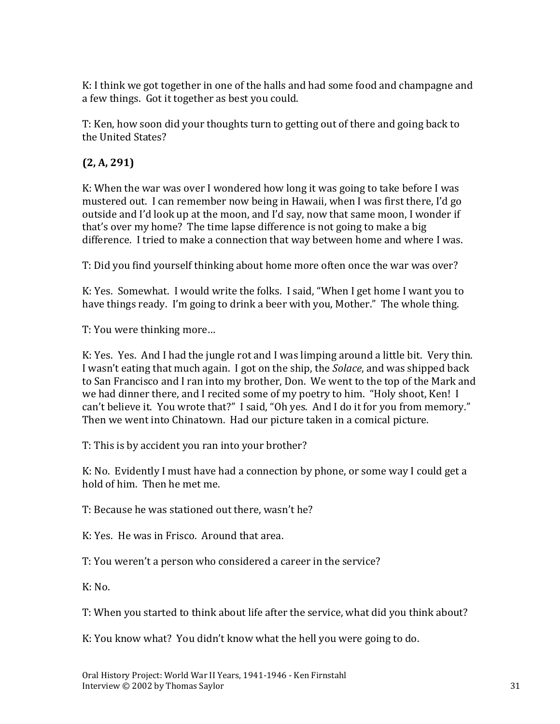K: I think we got together in one of the halls and had some food and champagne and a few things. Got it together as best you could.

T: Ken, how soon did your thoughts turn to getting out of there and going back to the United States?

# **(2, A, 291)**

K: When the war was over I wondered how long it was going to take before I was mustered out. I can remember now being in Hawaii, when I was first there, I'd go outside and I'd look up at the moon, and I'd say, now that same moon, I wonder if that's over my home? The time lapse difference is not going to make a big difference. I tried to make a connection that way between home and where I was.

T: Did you find yourself thinking about home more often once the war was over?

K: Yes. Somewhat. I would write the folks. I said, "When I get home I want you to have things ready. I'm going to drink a beer with you, Mother." The whole thing.

T: You were thinking more…

K: Yes. Yes. And I had the jungle rot and I was limping around a little bit. Very thin. I wasn't eating that much again. I got on the ship, the *Solace*, and was shipped back to San Francisco and I ran into my brother, Don. We went to the top of the Mark and we had dinner there, and I recited some of my poetry to him. "Holy shoot, Ken! I can't believe it. You wrote that?" I said, "Oh yes. And I do it for you from memory." Then we went into Chinatown. Had our picture taken in a comical picture.

T: This is by accident you ran into your brother?

K: No. Evidently I must have had a connection by phone, or some way I could get a hold of him. Then he met me.

T: Because he was stationed out there, wasn't he?

K: Yes. He was in Frisco. Around that area.

T: You weren't a person who considered a career in the service?

 $K: No.$ 

T: When you started to think about life after the service, what did you think about?

K: You know what? You didn't know what the hell you were going to do.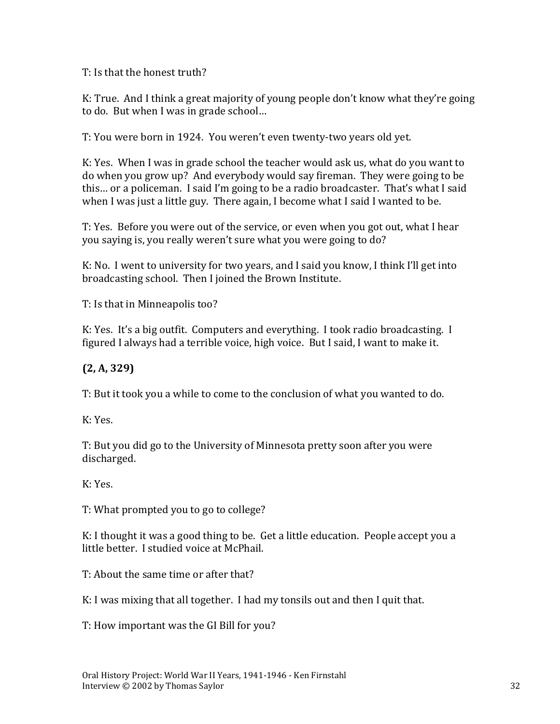T: Is that the honest truth?

K: True. And I think a great majority of young people don't know what they're going to do. But when I was in grade school…

T: You were born in 1924. You weren't even twenty-two years old yet.

K: Yes. When I was in grade school the teacher would ask us, what do you want to do when you grow up? And everybody would say fireman. They were going to be this… or a policeman. I said I'm going to be a radio broadcaster. That's what I said when I was just a little guy. There again, I become what I said I wanted to be.

T: Yes. Before you were out of the service, or even when you got out, what I hear you saying is, you really weren't sure what you were going to do?

K: No. I went to university for two years, and I said you know, I think I'll get into broadcasting school. Then I joined the Brown Institute.

T: Is that in Minneapolis too?

K: Yes. It's a big outfit. Computers and everything. I took radio broadcasting. I figured I always had a terrible voice, high voice. But I said, I want to make it.

#### **(2, A, 329)**

T: But it took you a while to come to the conclusion of what you wanted to do.

K: Yes.

T: But you did go to the University of Minnesota pretty soon after you were discharged.

K: Yes.

T: What prompted you to go to college?

K: I thought it was a good thing to be. Get a little education. People accept you a little better. I studied voice at McPhail.

T: About the same time or after that?

K: I was mixing that all together. I had my tonsils out and then I quit that.

T: How important was the GI Bill for you?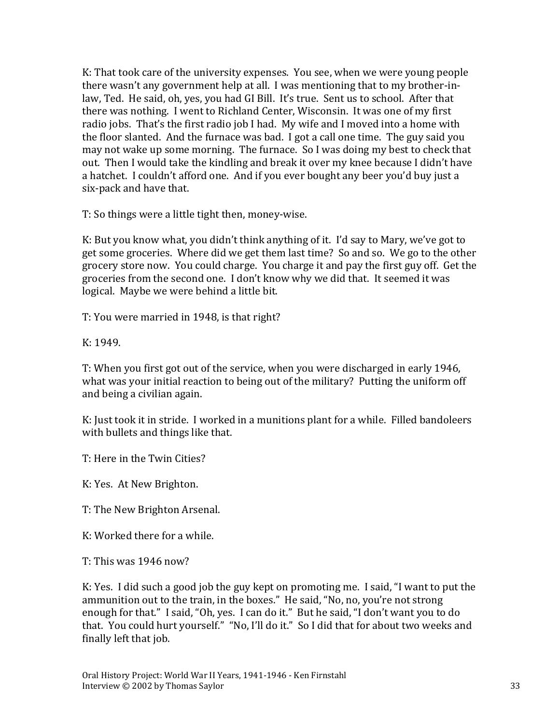K: That took care of the university expenses. You see, when we were young people there wasn't any government help at all. I was mentioning that to my brother-inlaw, Ted. He said, oh, yes, you had GI Bill. It's true. Sent us to school. After that there was nothing. I went to Richland Center, Wisconsin. It was one of my first radio jobs. That's the first radio job I had. My wife and I moved into a home with the floor slanted. And the furnace was bad. I got a call one time. The guy said you may not wake up some morning. The furnace. So I was doing my best to check that out. Then I would take the kindling and break it over my knee because I didn't have a hatchet. I couldn't afford one. And if you ever bought any beer you'd buy just a six-pack and have that.

T: So things were a little tight then, money-wise.

K: But you know what, you didn't think anything of it. I'd say to Mary, we've got to get some groceries. Where did we get them last time? So and so. We go to the other grocery store now. You could charge. You charge it and pay the first guy off. Get the groceries from the second one. I don't know why we did that. It seemed it was logical. Maybe we were behind a little bit.

T: You were married in 1948, is that right?

K: 1949.

T: When you first got out of the service, when you were discharged in early 1946, what was your initial reaction to being out of the military? Putting the uniform off and being a civilian again.

K: Just took it in stride. I worked in a munitions plant for a while. Filled bandoleers with bullets and things like that.

T: Here in the Twin Cities?

K: Yes. At New Brighton.

T: The New Brighton Arsenal.

K: Worked there for a while.

T: This was 1946 now?

K: Yes. I did such a good job the guy kept on promoting me. I said, "I want to put the ammunition out to the train, in the boxes." He said, "No, no, you're not strong enough for that." I said, "Oh, yes. I can do it." But he said, "I don't want you to do that. You could hurt yourself." "No, I'll do it." So I did that for about two weeks and finally left that job.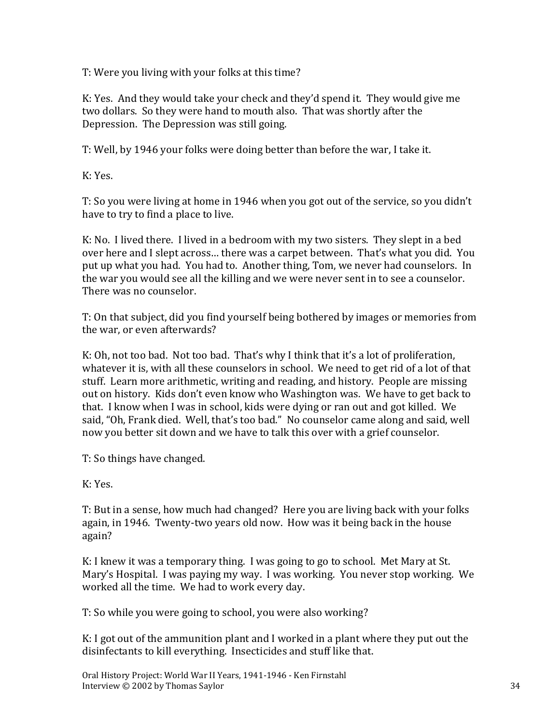T: Were you living with your folks at this time?

K: Yes. And they would take your check and they'd spend it. They would give me two dollars. So they were hand to mouth also. That was shortly after the Depression. The Depression was still going.

T: Well, by 1946 your folks were doing better than before the war, I take it.

K: Yes.

T: So you were living at home in 1946 when you got out of the service, so you didn't have to try to find a place to live.

K: No. I lived there. I lived in a bedroom with my two sisters. They slept in a bed over here and I slept across… there was a carpet between. That's what you did. You put up what you had. You had to. Another thing, Tom, we never had counselors. In the war you would see all the killing and we were never sent in to see a counselor. There was no counselor.

T: On that subject, did you find yourself being bothered by images or memories from the war, or even afterwards?

K: Oh, not too bad. Not too bad. That's why I think that it's a lot of proliferation, whatever it is, with all these counselors in school. We need to get rid of a lot of that stuff. Learn more arithmetic, writing and reading, and history. People are missing out on history. Kids don't even know who Washington was. We have to get back to that. I know when I was in school, kids were dying or ran out and got killed. We said, "Oh, Frank died. Well, that's too bad." No counselor came along and said, well now you better sit down and we have to talk this over with a grief counselor.

T: So things have changed.

K: Yes.

T: But in a sense, how much had changed? Here you are living back with your folks again, in 1946. Twenty-two years old now. How was it being back in the house again?

K: I knew it was a temporary thing. I was going to go to school. Met Mary at St. Mary's Hospital. I was paying my way. I was working. You never stop working. We worked all the time. We had to work every day.

T: So while you were going to school, you were also working?

K: I got out of the ammunition plant and I worked in a plant where they put out the disinfectants to kill everything. Insecticides and stuff like that.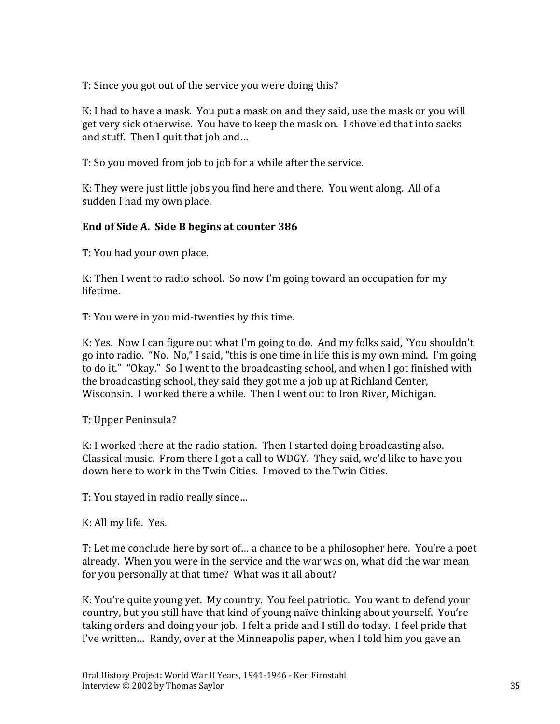T: Since you got out of the service you were doing this?

K: I had to have a mask. You put a mask on and they said, use the mask or you will get very sick otherwise. You have to keep the mask on. I shoveled that into sacks and stuff. Then I quit that job and…

T: So you moved from job to job for a while after the service.

K: They were just little jobs you find here and there. You went along. All of a sudden I had my own place.

#### **End of Side A. Side B begins at counter 386**

T: You had your own place.

K: Then I went to radio school. So now I'm going toward an occupation for my lifetime.

T: You were in you mid-twenties by this time.

K: Yes. Now I can figure out what I'm going to do. And my folks said, "You shouldn't go into radio. "No. No," I said, "this is one time in life this is my own mind. I'm going to do it." "Okay." So I went to the broadcasting school, and when I got finished with the broadcasting school, they said they got me a job up at Richland Center, Wisconsin. I worked there a while. Then I went out to Iron River, Michigan.

T: Upper Peninsula?

K: I worked there at the radio station. Then I started doing broadcasting also. Classical music. From there I got a call to WDGY. They said, we'd like to have you down here to work in the Twin Cities. I moved to the Twin Cities.

T: You stayed in radio really since…

K: All my life. Yes.

T: Let me conclude here by sort of… a chance to be a philosopher here. You're a poet already. When you were in the service and the war was on, what did the war mean for you personally at that time? What was it all about?

K: You're quite young yet. My country. You feel patriotic. You want to defend your country, but you still have that kind of young naïve thinking about yourself. You're taking orders and doing your job. I felt a pride and I still do today. I feel pride that I've written… Randy, over at the Minneapolis paper, when I told him you gave an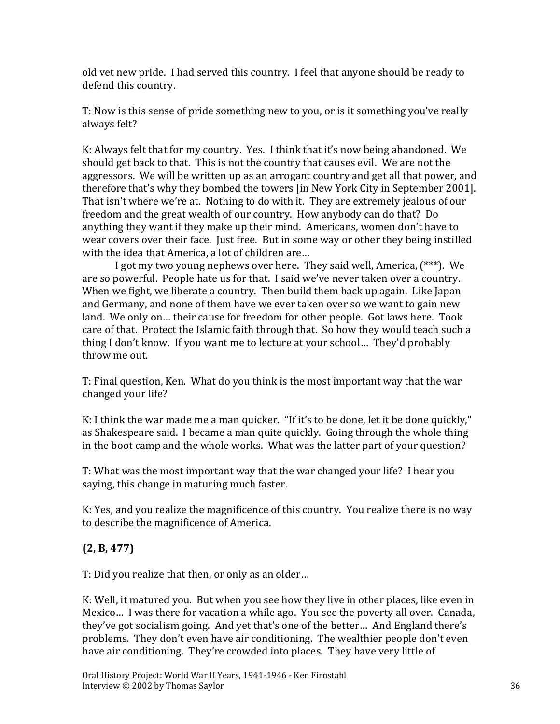old vet new pride. I had served this country. I feel that anyone should be ready to defend this country.

T: Now is this sense of pride something new to you, or is it something you've really always felt?

K: Always felt that for my country. Yes. I think that it's now being abandoned. We should get back to that. This is not the country that causes evil. We are not the aggressors. We will be written up as an arrogant country and get all that power, and therefore that's why they bombed the towers [in New York City in September 2001]. That isn't where we're at. Nothing to do with it. They are extremely jealous of our freedom and the great wealth of our country. How anybody can do that? Do anything they want if they make up their mind. Americans, women don't have to wear covers over their face. Just free. But in some way or other they being instilled with the idea that America, a lot of children are…

I got my two young nephews over here. They said well, America, (\*\*\*). We are so powerful. People hate us for that. I said we've never taken over a country. When we fight, we liberate a country. Then build them back up again. Like Japan and Germany, and none of them have we ever taken over so we want to gain new land. We only on… their cause for freedom for other people. Got laws here. Took care of that. Protect the Islamic faith through that. So how they would teach such a thing I don't know. If you want me to lecture at your school… They'd probably throw me out.

T: Final question, Ken. What do you think is the most important way that the war changed your life?

K: I think the war made me a man quicker. "If it's to be done, let it be done quickly," as Shakespeare said. I became a man quite quickly. Going through the whole thing in the boot camp and the whole works. What was the latter part of your question?

T: What was the most important way that the war changed your life? I hear you saying, this change in maturing much faster.

K: Yes, and you realize the magnificence of this country. You realize there is no way to describe the magnificence of America.

# **(2, B, 477)**

T: Did you realize that then, or only as an older…

K: Well, it matured you. But when you see how they live in other places, like even in Mexico… I was there for vacation a while ago. You see the poverty all over. Canada, they've got socialism going. And yet that's one of the better… And England there's problems. They don't even have air conditioning. The wealthier people don't even have air conditioning. They're crowded into places. They have very little of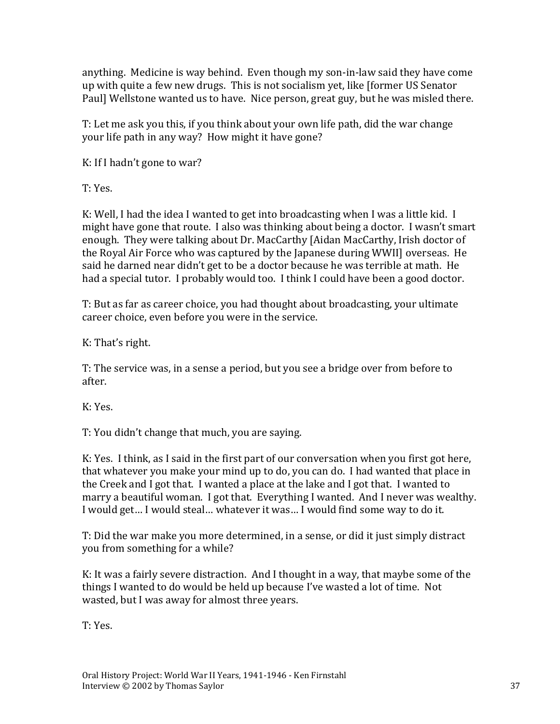anything. Medicine is way behind. Even though my son-in-law said they have come up with quite a few new drugs. This is not socialism yet, like [former US Senator Paul] Wellstone wanted us to have. Nice person, great guy, but he was misled there.

T: Let me ask you this, if you think about your own life path, did the war change your life path in any way? How might it have gone?

K: If I hadn't gone to war?

T: Yes.

K: Well, I had the idea I wanted to get into broadcasting when I was a little kid. I might have gone that route. I also was thinking about being a doctor. I wasn't smart enough. They were talking about Dr. MacCarthy [Aidan MacCarthy, Irish doctor of the Royal Air Force who was captured by the Japanese during WWII] overseas. He said he darned near didn't get to be a doctor because he was terrible at math. He had a special tutor. I probably would too. I think I could have been a good doctor.

T: But as far as career choice, you had thought about broadcasting, your ultimate career choice, even before you were in the service.

K: That's right.

T: The service was, in a sense a period, but you see a bridge over from before to after.

K: Yes.

T: You didn't change that much, you are saying.

K: Yes. I think, as I said in the first part of our conversation when you first got here, that whatever you make your mind up to do, you can do. I had wanted that place in the Creek and I got that. I wanted a place at the lake and I got that. I wanted to marry a beautiful woman. I got that. Everything I wanted. And I never was wealthy. I would get… I would steal… whatever it was… I would find some way to do it.

T: Did the war make you more determined, in a sense, or did it just simply distract you from something for a while?

K: It was a fairly severe distraction. And I thought in a way, that maybe some of the things I wanted to do would be held up because I've wasted a lot of time. Not wasted, but I was away for almost three years.

T: Yes.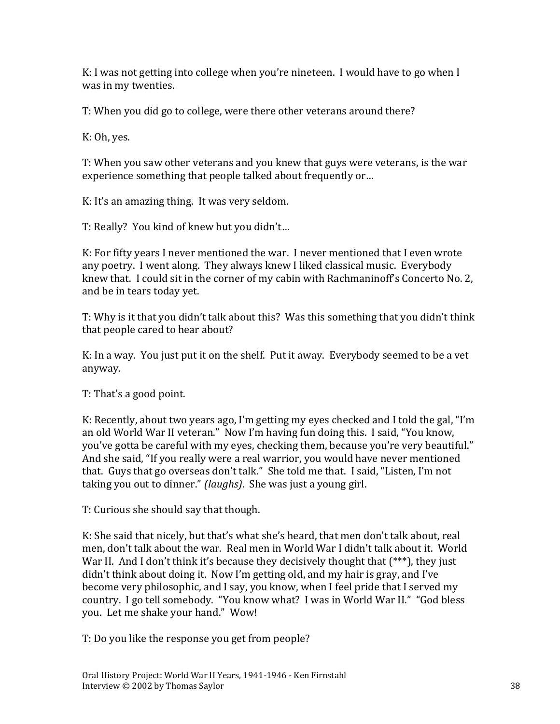K: I was not getting into college when you're nineteen. I would have to go when I was in my twenties.

T: When you did go to college, were there other veterans around there?

K: Oh, yes.

T: When you saw other veterans and you knew that guys were veterans, is the war experience something that people talked about frequently or…

K: It's an amazing thing. It was very seldom.

T: Really? You kind of knew but you didn't…

K: For fifty years I never mentioned the war. I never mentioned that I even wrote any poetry. I went along. They always knew I liked classical music. Everybody knew that. I could sit in the corner of my cabin with Rachmaninoff's Concerto No. 2, and be in tears today yet.

T: Why is it that you didn't talk about this? Was this something that you didn't think that people cared to hear about?

K: In a way. You just put it on the shelf. Put it away. Everybody seemed to be a vet anyway.

T: That's a good point.

K: Recently, about two years ago, I'm getting my eyes checked and I told the gal, "I'm an old World War II veteran." Now I'm having fun doing this. I said, "You know, you've gotta be careful with my eyes, checking them, because you're very beautiful." And she said, "If you really were a real warrior, you would have never mentioned that. Guys that go overseas don't talk." She told me that. I said, "Listen, I'm not taking you out to dinner." *(laughs)*. She was just a young girl.

T: Curious she should say that though.

K: She said that nicely, but that's what she's heard, that men don't talk about, real men, don't talk about the war. Real men in World War I didn't talk about it. World War II. And I don't think it's because they decisively thought that (\*\*\*), they just didn't think about doing it. Now I'm getting old, and my hair is gray, and I've become very philosophic, and I say, you know, when I feel pride that I served my country. I go tell somebody. "You know what? I was in World War II." "God bless you. Let me shake your hand." Wow!

T: Do you like the response you get from people?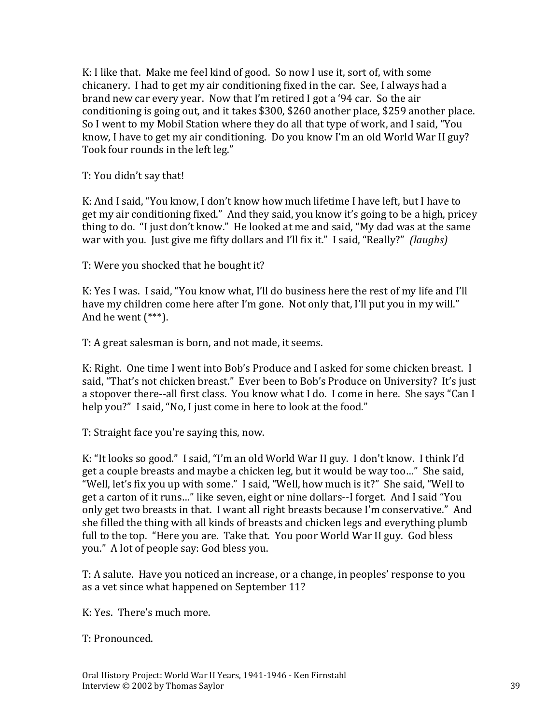K: I like that. Make me feel kind of good. So now I use it, sort of, with some chicanery. I had to get my air conditioning fixed in the car. See, I always had a brand new car every year. Now that I'm retired I got a '94 car. So the air conditioning is going out, and it takes \$300, \$260 another place, \$259 another place. So I went to my Mobil Station where they do all that type of work, and I said, "You know, I have to get my air conditioning. Do you know I'm an old World War II guy? Took four rounds in the left leg."

T: You didn't say that!

K: And I said, "You know, I don't know how much lifetime I have left, but I have to get my air conditioning fixed." And they said, you know it's going to be a high, pricey thing to do. "I just don't know." He looked at me and said, "My dad was at the same war with you. Just give me fifty dollars and I'll fix it." I said, "Really?" *(laughs)*

T: Were you shocked that he bought it?

K: Yes I was. I said, "You know what, I'll do business here the rest of my life and I'll have my children come here after I'm gone. Not only that, I'll put you in my will." And he went (\*\*\*).

T: A great salesman is born, and not made, it seems.

K: Right. One time I went into Bob's Produce and I asked for some chicken breast. I said, "That's not chicken breast." Ever been to Bob's Produce on University? It's just a stopover there--all first class. You know what I do. I come in here. She says "Can I help you?" I said, "No, I just come in here to look at the food."

T: Straight face you're saying this, now.

K: "It looks so good." I said, "I'm an old World War II guy. I don't know. I think I'd get a couple breasts and maybe a chicken leg, but it would be way too…" She said, "Well, let's fix you up with some." I said, "Well, how much is it?" She said, "Well to get a carton of it runs…" like seven, eight or nine dollars--I forget. And I said "You only get two breasts in that. I want all right breasts because I'm conservative." And she filled the thing with all kinds of breasts and chicken legs and everything plumb full to the top. "Here you are. Take that. You poor World War II guy. God bless you." A lot of people say: God bless you.

T: A salute. Have you noticed an increase, or a change, in peoples' response to you as a vet since what happened on September 11?

K: Yes. There's much more.

T: Pronounced.

Oral History Project: World War II Years, 1941-1946 - Ken Firnstahl Interview © 2002 by Thomas Saylor 39